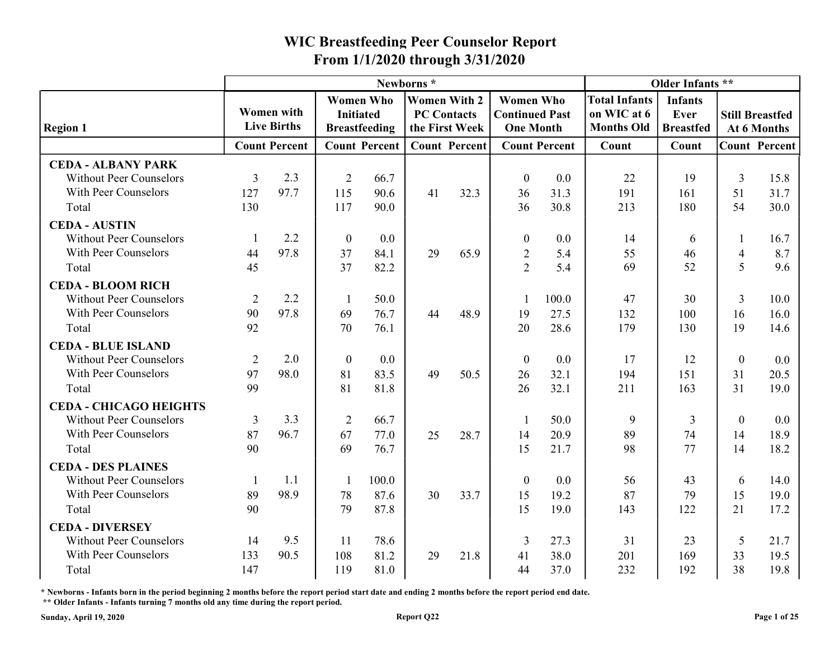|                                                                                     |            |                                         |                                      |                      |                                                             |      | From 1/1/2020 through 3/31/2020                               |                      |                                                          |                                            |                  |                                       |
|-------------------------------------------------------------------------------------|------------|-----------------------------------------|--------------------------------------|----------------------|-------------------------------------------------------------|------|---------------------------------------------------------------|----------------------|----------------------------------------------------------|--------------------------------------------|------------------|---------------------------------------|
|                                                                                     |            |                                         |                                      |                      | Newborns*                                                   |      |                                                               |                      |                                                          | Older Infants **                           |                  |                                       |
| <b>Region 1</b>                                                                     |            | <b>Women</b> with<br><b>Live Births</b> | <b>Women Who</b><br><b>Initiated</b> | <b>Breastfeeding</b> | <b>Women With 2</b><br><b>PC Contacts</b><br>the First Week |      | <b>Women Who</b><br><b>Continued Past</b><br><b>One Month</b> |                      | <b>Total Infants</b><br>on WIC at 6<br><b>Months Old</b> | <b>Infants</b><br>Ever<br><b>Breastfed</b> |                  | <b>Still Breastfed</b><br>At 6 Months |
|                                                                                     |            | <b>Count Percent</b>                    |                                      | <b>Count Percent</b> | <b>Count Percent</b>                                        |      |                                                               | <b>Count Percent</b> | Count                                                    | Count                                      |                  | <b>Count Percent</b>                  |
| <b>CEDA - ALBANY PARK</b><br><b>Without Peer Counselors</b><br>With Peer Counselors | 3          | 2.3<br>97.7                             | $\overline{2}$                       | 66.7                 |                                                             |      | $\boldsymbol{0}$                                              | 0.0                  | 22                                                       | 19                                         | 3                | 15.8                                  |
| Total                                                                               | 127<br>130 |                                         | 115<br>117                           | 90.6<br>90.0         | 41                                                          | 32.3 | 36<br>36                                                      | 31.3<br>30.8         | 191<br>213                                               | 161<br>180                                 | 51<br>54         | 31.7<br>30.0                          |
| <b>CEDA - AUSTIN</b><br><b>Without Peer Counselors</b><br>With Peer Counselors      |            | 2.2<br>97.8                             | $\boldsymbol{0}$                     | 0.0                  |                                                             |      | $\boldsymbol{0}$                                              | 0.0                  | 14                                                       | 6                                          |                  | 16.7                                  |
| Total                                                                               | 44<br>45   |                                         | 37<br>37                             | 84.1<br>82.2         | 29                                                          | 65.9 | $\overline{2}$<br>$\overline{2}$                              | 5.4<br>5.4           | 55<br>69                                                 | 46<br>52                                   | 4<br>5           | 8.7<br>9.6                            |
| <b>CEDA - BLOOM RICH</b><br><b>Without Peer Counselors</b>                          | 2          | 2.2                                     |                                      | 50.0                 |                                                             |      |                                                               | 100.0                | 47                                                       | 30                                         | 3                | 10.0                                  |
| With Peer Counselors<br>Total                                                       | 90<br>92   | 97.8                                    | 69<br>70                             | 76.7<br>76.1         | 44                                                          | 48.9 | 19<br>20                                                      | 27.5<br>28.6         | 132<br>179                                               | 100<br>130                                 | 16<br>19         | 16.0<br>14.6                          |
| <b>CEDA - BLUE ISLAND</b><br><b>Without Peer Counselors</b>                         | 2          | 2.0                                     | $\boldsymbol{0}$                     | $0.0\,$              |                                                             |      | $\boldsymbol{0}$                                              | 0.0                  | 17                                                       | 12                                         | $\boldsymbol{0}$ | $0.0\,$                               |
| With Peer Counselors<br>Total                                                       | 97<br>99   | 98.0                                    | 81<br>81                             | 83.5<br>81.8         | 49                                                          | 50.5 | 26<br>26                                                      | 32.1<br>32.1         | 194<br>211                                               | 151<br>163                                 | 31<br>31         | 20.5<br>19.0                          |
| <b>CEDA - CHICAGO HEIGHTS</b>                                                       |            |                                         |                                      |                      |                                                             |      |                                                               |                      |                                                          |                                            |                  |                                       |
| <b>Without Peer Counselors</b>                                                      | 3          | 3.3                                     | $\overline{2}$                       | 66.7                 |                                                             |      |                                                               | 50.0                 | 9                                                        | 3                                          | $\mathbf{0}$     | 0.0                                   |
| With Peer Counselors<br>Total                                                       | 87<br>90   | 96.7                                    | 67<br>69                             | 77.0<br>76.7         | 25                                                          | 28.7 | 14<br>15                                                      | 20.9<br>21.7         | 89<br>98                                                 | 74<br>77                                   | 14<br>14         | 18.9<br>18.2                          |
| <b>CEDA - DES PLAINES</b>                                                           |            |                                         |                                      |                      |                                                             |      |                                                               |                      |                                                          |                                            |                  |                                       |
| <b>Without Peer Counselors</b>                                                      |            | 1.1                                     |                                      | 100.0                |                                                             |      | $\boldsymbol{0}$                                              | 0.0                  | 56                                                       | 43                                         | 6                | 14.0                                  |
| With Peer Counselors<br>Total                                                       | 89<br>90   | 98.9                                    | 78<br>79                             | 87.6<br>87.8         | 30                                                          | 33.7 | 15<br>15                                                      | 19.2<br>19.0         | 87<br>143                                                | 79<br>122                                  | 15<br>21         | 19.0<br>17.2                          |
| <b>CEDA - DIVERSEY</b>                                                              |            |                                         |                                      |                      |                                                             |      |                                                               |                      |                                                          |                                            |                  |                                       |
| <b>Without Peer Counselors</b>                                                      | 14         | 9.5                                     | -11                                  | 78.6                 |                                                             |      | 3                                                             | 27.3                 | 31                                                       | 23                                         | 5                | 21.7                                  |
| With Peer Counselors<br>Total                                                       | 133<br>147 | 90.5                                    | 108<br>119                           | 81.2<br>81.0         | 29                                                          | 21.8 | 41<br>44                                                      | 38.0<br>37.0         | 201<br>232                                               | 169<br>192                                 | 33<br>38         | 19.5<br>19.8                          |

\* Newborns - Infants born in the period beginning 2 months before the report period start date and ending 2 months before the report period end date.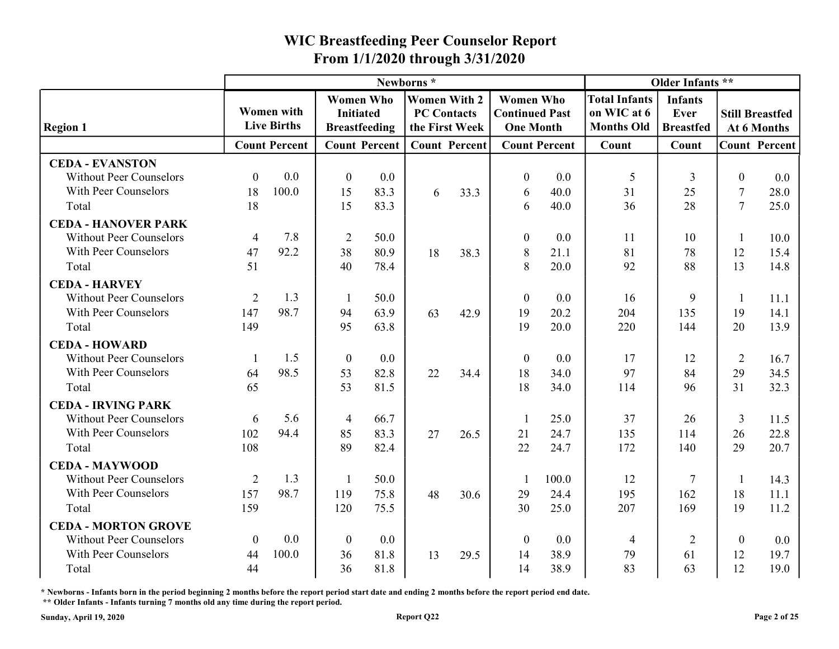|                                                          |                |                                         |                                                              |                      |                                  |                      | From 1/1/2020 through 3/31/2020           |                      |                                                          |                                            |                |                                       |
|----------------------------------------------------------|----------------|-----------------------------------------|--------------------------------------------------------------|----------------------|----------------------------------|----------------------|-------------------------------------------|----------------------|----------------------------------------------------------|--------------------------------------------|----------------|---------------------------------------|
|                                                          |                |                                         |                                                              |                      | Newborns*<br><b>Women With 2</b> |                      | <b>Women Who</b>                          |                      |                                                          | Older Infants **                           |                |                                       |
| <b>Region 1</b>                                          |                | <b>Women with</b><br><b>Live Births</b> | <b>Women Who</b><br><b>Initiated</b><br><b>Breastfeeding</b> |                      | <b>PC Contacts</b>               | the First Week       | <b>Continued Past</b><br><b>One Month</b> |                      | <b>Total Infants</b><br>on WIC at 6<br><b>Months Old</b> | <b>Infants</b><br>Ever<br><b>Breastfed</b> |                | <b>Still Breastfed</b><br>At 6 Months |
|                                                          |                | <b>Count Percent</b>                    |                                                              | <b>Count Percent</b> |                                  | <b>Count Percent</b> |                                           | <b>Count Percent</b> | Count                                                    | Count                                      |                | <b>Count Percent</b>                  |
| <b>CEDA - EVANSTON</b><br><b>Without Peer Counselors</b> | $\Omega$       | 0.0                                     | $\theta$                                                     | 0.0                  |                                  |                      | $\boldsymbol{0}$                          | 0.0                  | -5                                                       |                                            | $\theta$       | 0.0                                   |
| With Peer Counselors                                     | 18             | 100.0                                   | 15                                                           | 83.3                 | 6                                | 33.3                 | 6                                         | 40.0                 | 31                                                       | 25                                         | $\overline{7}$ | 28.0                                  |
| Total                                                    | 18             |                                         | 15                                                           | 83.3                 |                                  |                      | 6                                         | 40.0                 | 36                                                       | 28                                         | $\tau$         | 25.0                                  |
| <b>CEDA - HANOVER PARK</b>                               |                |                                         |                                                              |                      |                                  |                      |                                           |                      |                                                          |                                            |                |                                       |
| <b>Without Peer Counselors</b>                           | $\overline{4}$ | 7.8                                     | $\overline{2}$                                               | 50.0                 |                                  |                      | $\boldsymbol{0}$                          | 0.0                  | 11                                                       | 10                                         |                | 10.0                                  |
| With Peer Counselors                                     | 47             | 92.2                                    | 38                                                           | 80.9                 | 18                               | 38.3                 | 8                                         | 21.1                 | 81                                                       | 78                                         | 12             | 15.4                                  |
| Total                                                    | 51             |                                         | 40                                                           | 78.4                 |                                  |                      | 8                                         | 20.0                 | 92                                                       | 88                                         | 13             | 14.8                                  |
| <b>CEDA - HARVEY</b>                                     |                |                                         |                                                              |                      |                                  |                      |                                           |                      |                                                          |                                            |                |                                       |
| <b>Without Peer Counselors</b>                           | 2              | 1.3                                     |                                                              | 50.0                 |                                  |                      | $\theta$                                  | 0.0                  | 16                                                       | $\mathbf Q$                                |                | 11.1                                  |
| With Peer Counselors                                     | 147            | 98.7                                    | 94                                                           | 63.9                 | 63                               | 42.9                 | 19                                        | 20.2                 | 204                                                      | 135                                        | 19             | 14.1                                  |
| Total                                                    | 149            |                                         | 95                                                           | 63.8                 |                                  |                      | 19                                        | 20.0                 | 220                                                      | 144                                        | 20             | 13.9                                  |
| <b>CEDA - HOWARD</b><br><b>Without Peer Counselors</b>   |                | 1.5                                     | $\boldsymbol{0}$                                             | $0.0\,$              |                                  |                      | $\boldsymbol{0}$                          | 0.0                  | 17                                                       | 12                                         | $\overline{2}$ |                                       |
| With Peer Counselors                                     | 64             | 98.5                                    | 53                                                           | 82.8                 | 22                               | 34.4                 | 18                                        | 34.0                 | 97                                                       | 84                                         | 29             | 16.7<br>34.5                          |
| Total                                                    | 65             |                                         | 53                                                           | 81.5                 |                                  |                      | 18                                        | 34.0                 | 114                                                      | 96                                         | 31             | 32.3                                  |
| <b>CEDA - IRVING PARK</b>                                |                |                                         |                                                              |                      |                                  |                      |                                           |                      |                                                          |                                            |                |                                       |
| <b>Without Peer Counselors</b>                           | 6              | 5.6                                     | $\overline{4}$                                               | 66.7                 |                                  |                      |                                           | 25.0                 | 37                                                       | 26                                         | 3              | 11.5                                  |
| With Peer Counselors                                     | 102            | 94.4                                    | 85                                                           | 83.3                 | 27                               | 26.5                 | 21                                        | 24.7                 | 135                                                      | 114                                        | 26             | 22.8                                  |
| Total                                                    | 108            |                                         | 89                                                           | 82.4                 |                                  |                      | 22                                        | 24.7                 | 172                                                      | 140                                        | 29             | 20.7                                  |
| <b>CEDA - MAYWOOD</b>                                    |                |                                         |                                                              |                      |                                  |                      |                                           |                      |                                                          |                                            |                |                                       |
| <b>Without Peer Counselors</b>                           | 2              | 1.3                                     |                                                              | 50.0                 |                                  |                      |                                           | 100.0                | 12                                                       | 7                                          |                | 14.3                                  |
| With Peer Counselors                                     | 157            | 98.7                                    | 119                                                          | 75.8                 | 48                               | 30.6                 | 29                                        | 24.4                 | 195                                                      | 162                                        | 18             | 11.1                                  |
| Total                                                    | 159            |                                         | 120                                                          | 75.5                 |                                  |                      | 30                                        | 25.0                 | 207                                                      | 169                                        | 19             | 11.2                                  |
| <b>CEDA - MORTON GROVE</b>                               |                |                                         |                                                              |                      |                                  |                      |                                           |                      |                                                          |                                            |                |                                       |
| <b>Without Peer Counselors</b>                           | $\overline{0}$ | 0.0                                     | $\theta$                                                     | $0.0\,$              |                                  |                      | $\theta$                                  | 0.0                  | 4                                                        | $\overline{2}$                             | $\overline{0}$ | 0.0                                   |
| With Peer Counselors                                     | 44             | 100.0                                   | 36                                                           | 81.8                 | 13                               | 29.5                 | 14                                        | 38.9                 | 79                                                       | 61                                         | 12             | 19.7                                  |
| Total                                                    | 44             |                                         | 36                                                           | 81.8                 |                                  |                      | 14                                        | 38.9                 | 83                                                       | 63                                         | 12             | 19.0                                  |

\* Newborns - Infants born in the period beginning 2 months before the report period start date and ending 2 months before the report period end date.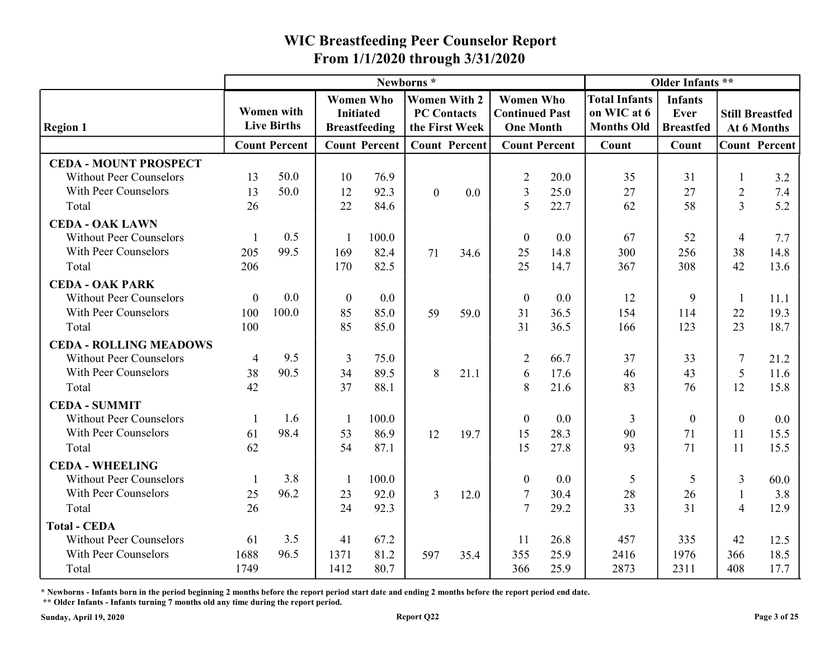| Older Infants **<br>Newborns*<br><b>Women With 2</b><br><b>Women Who</b><br><b>Total Infants</b><br><b>Women Who</b><br><b>Infants</b><br><b>Women with</b><br><b>Continued Past</b><br>on WIC at 6<br><b>PC Contacts</b><br><b>Still Breastfed</b><br><b>Initiated</b><br>Ever<br><b>Live Births</b><br><b>Months Old</b><br><b>Region 1</b><br><b>Breastfeeding</b><br>the First Week<br><b>One Month</b><br><b>Breastfed</b><br>At 6 Months<br><b>Count Percent</b><br><b>Count Percent</b><br><b>Count Percent</b><br><b>Count Percent</b><br><b>Count Percent</b><br>Count<br>Count<br><b>CEDA - MOUNT PROSPECT</b><br>50.0<br>20.0<br><b>Without Peer Counselors</b><br>13<br>10<br>76.9<br>31<br>3.2<br>$\overline{2}$<br>35<br>With Peer Counselors<br>50.0<br>92.3<br>27<br>7.4<br>13<br>12<br>0.0<br>3<br>25.0<br>27<br>$\overline{2}$<br>$\overline{0}$<br>62<br>58<br>$\overline{3}$<br>5.2<br>22<br>26<br>84.6<br>22.7<br>Total<br>.5<br><b>CEDA - OAK LAWN</b><br>0.5<br><b>Without Peer Counselors</b><br>52<br>7.7<br>100.0<br>$\boldsymbol{0}$<br>67<br>0.0<br>$\overline{4}$<br>99.5<br>With Peer Counselors<br>71<br>14.8<br>205<br>169<br>82.4<br>34.6<br>14.8<br>256<br>38<br>25<br>300<br>42<br>308<br>13.6<br>206<br>25<br>367<br>Total<br>170<br>82.5<br>14.7<br><b>CEDA - OAK PARK</b><br>0.0<br><b>Without Peer Counselors</b><br>$\theta$<br>12<br>$\mathbf Q$<br>0.0<br>$\theta$<br>0.0<br>11.1<br>$\theta$<br>With Peer Counselors<br>100.0<br>100<br>59<br>59.0<br>19.3<br>85<br>85.0<br>31<br>36.5<br>154<br>114<br>22<br>123<br>23<br>100<br>85<br>85.0<br>31<br>36.5<br>18.7<br>Total<br>166<br><b>CEDA - ROLLING MEADOWS</b><br>9.5<br><b>Without Peer Counselors</b><br>75.0<br>66.7<br>37<br>33<br>$\mathcal{I}$<br>$\overline{3}$<br>$\overline{2}$<br>21.2<br>4<br>90.5<br>With Peer Counselors<br>38<br>17.6<br>34<br>89.5<br>8<br>21.1<br>11.6<br>46<br>43<br>5<br>6<br>42<br>37<br>21.6<br>88.1<br>8<br>76<br>12<br>Total<br>83<br>15.8<br><b>CEDA - SUMMIT</b><br><b>Without Peer Counselors</b><br>1.6<br>100.0<br>0.0<br>$0.0\,$<br>$\boldsymbol{0}$<br>$\overline{0}$<br>3<br>$\Omega$<br>With Peer Counselors<br>98.4<br>71<br>86.9<br>28.3<br>90<br>15.5<br>61<br>53<br>12<br>19.7<br>15<br>11<br>62<br>54<br>71<br>87.1<br>27.8<br>93<br>11<br>15.5<br>15<br>Total<br><b>CEDA - WHEELING</b><br>3.8<br><b>Without Peer Counselors</b><br>100.0<br>0.0<br>5<br>3<br>60.0<br>$\boldsymbol{0}$<br>5<br>With Peer Counselors<br>96.2<br>28<br>3.8<br>25<br>92.0<br>30.4<br>26<br>12.0<br>23<br>$\mathfrak{Z}$<br>26<br>31<br>$\overline{7}$<br>33<br>Total<br>24<br>92.3<br>29.2<br>12.9<br>$\overline{4}$<br><b>Total - CEDA</b><br>3.5<br>67.2<br>26.8<br>335<br><b>Without Peer Counselors</b><br>61<br>457<br>42<br>41<br>12.5<br>-11<br>96.5<br>With Peer Counselors<br>1688<br>1371<br>81.2<br>355<br>25.9<br>2416<br>1976<br>18.5<br>597<br>35.4<br>366 |       |      |      |      |  | From 1/1/2020 through 3/31/2020 |      |      |      |     |      |
|------------------------------------------------------------------------------------------------------------------------------------------------------------------------------------------------------------------------------------------------------------------------------------------------------------------------------------------------------------------------------------------------------------------------------------------------------------------------------------------------------------------------------------------------------------------------------------------------------------------------------------------------------------------------------------------------------------------------------------------------------------------------------------------------------------------------------------------------------------------------------------------------------------------------------------------------------------------------------------------------------------------------------------------------------------------------------------------------------------------------------------------------------------------------------------------------------------------------------------------------------------------------------------------------------------------------------------------------------------------------------------------------------------------------------------------------------------------------------------------------------------------------------------------------------------------------------------------------------------------------------------------------------------------------------------------------------------------------------------------------------------------------------------------------------------------------------------------------------------------------------------------------------------------------------------------------------------------------------------------------------------------------------------------------------------------------------------------------------------------------------------------------------------------------------------------------------------------------------------------------------------------------------------------------------------------------------------------------------------------------------------------------------------------------------------------------------------------------------------------------------------------------------------------------------------------------------------------------------------------------------------------------------------------------------------------------------------------------------------------------------------------------------------------------------------------------------------------------------------------------------------------------------------|-------|------|------|------|--|---------------------------------|------|------|------|-----|------|
|                                                                                                                                                                                                                                                                                                                                                                                                                                                                                                                                                                                                                                                                                                                                                                                                                                                                                                                                                                                                                                                                                                                                                                                                                                                                                                                                                                                                                                                                                                                                                                                                                                                                                                                                                                                                                                                                                                                                                                                                                                                                                                                                                                                                                                                                                                                                                                                                                                                                                                                                                                                                                                                                                                                                                                                                                                                                                                            |       |      |      |      |  |                                 |      |      |      |     |      |
|                                                                                                                                                                                                                                                                                                                                                                                                                                                                                                                                                                                                                                                                                                                                                                                                                                                                                                                                                                                                                                                                                                                                                                                                                                                                                                                                                                                                                                                                                                                                                                                                                                                                                                                                                                                                                                                                                                                                                                                                                                                                                                                                                                                                                                                                                                                                                                                                                                                                                                                                                                                                                                                                                                                                                                                                                                                                                                            |       |      |      |      |  |                                 |      |      |      |     |      |
|                                                                                                                                                                                                                                                                                                                                                                                                                                                                                                                                                                                                                                                                                                                                                                                                                                                                                                                                                                                                                                                                                                                                                                                                                                                                                                                                                                                                                                                                                                                                                                                                                                                                                                                                                                                                                                                                                                                                                                                                                                                                                                                                                                                                                                                                                                                                                                                                                                                                                                                                                                                                                                                                                                                                                                                                                                                                                                            |       |      |      |      |  |                                 |      |      |      |     |      |
|                                                                                                                                                                                                                                                                                                                                                                                                                                                                                                                                                                                                                                                                                                                                                                                                                                                                                                                                                                                                                                                                                                                                                                                                                                                                                                                                                                                                                                                                                                                                                                                                                                                                                                                                                                                                                                                                                                                                                                                                                                                                                                                                                                                                                                                                                                                                                                                                                                                                                                                                                                                                                                                                                                                                                                                                                                                                                                            |       |      |      |      |  |                                 |      |      |      |     |      |
|                                                                                                                                                                                                                                                                                                                                                                                                                                                                                                                                                                                                                                                                                                                                                                                                                                                                                                                                                                                                                                                                                                                                                                                                                                                                                                                                                                                                                                                                                                                                                                                                                                                                                                                                                                                                                                                                                                                                                                                                                                                                                                                                                                                                                                                                                                                                                                                                                                                                                                                                                                                                                                                                                                                                                                                                                                                                                                            |       |      |      |      |  |                                 |      |      |      |     |      |
|                                                                                                                                                                                                                                                                                                                                                                                                                                                                                                                                                                                                                                                                                                                                                                                                                                                                                                                                                                                                                                                                                                                                                                                                                                                                                                                                                                                                                                                                                                                                                                                                                                                                                                                                                                                                                                                                                                                                                                                                                                                                                                                                                                                                                                                                                                                                                                                                                                                                                                                                                                                                                                                                                                                                                                                                                                                                                                            |       |      |      |      |  |                                 |      |      |      |     |      |
|                                                                                                                                                                                                                                                                                                                                                                                                                                                                                                                                                                                                                                                                                                                                                                                                                                                                                                                                                                                                                                                                                                                                                                                                                                                                                                                                                                                                                                                                                                                                                                                                                                                                                                                                                                                                                                                                                                                                                                                                                                                                                                                                                                                                                                                                                                                                                                                                                                                                                                                                                                                                                                                                                                                                                                                                                                                                                                            |       |      |      |      |  |                                 |      |      |      |     |      |
|                                                                                                                                                                                                                                                                                                                                                                                                                                                                                                                                                                                                                                                                                                                                                                                                                                                                                                                                                                                                                                                                                                                                                                                                                                                                                                                                                                                                                                                                                                                                                                                                                                                                                                                                                                                                                                                                                                                                                                                                                                                                                                                                                                                                                                                                                                                                                                                                                                                                                                                                                                                                                                                                                                                                                                                                                                                                                                            |       |      |      |      |  |                                 |      |      |      |     |      |
|                                                                                                                                                                                                                                                                                                                                                                                                                                                                                                                                                                                                                                                                                                                                                                                                                                                                                                                                                                                                                                                                                                                                                                                                                                                                                                                                                                                                                                                                                                                                                                                                                                                                                                                                                                                                                                                                                                                                                                                                                                                                                                                                                                                                                                                                                                                                                                                                                                                                                                                                                                                                                                                                                                                                                                                                                                                                                                            |       |      |      |      |  |                                 |      |      |      |     |      |
|                                                                                                                                                                                                                                                                                                                                                                                                                                                                                                                                                                                                                                                                                                                                                                                                                                                                                                                                                                                                                                                                                                                                                                                                                                                                                                                                                                                                                                                                                                                                                                                                                                                                                                                                                                                                                                                                                                                                                                                                                                                                                                                                                                                                                                                                                                                                                                                                                                                                                                                                                                                                                                                                                                                                                                                                                                                                                                            |       |      |      |      |  |                                 |      |      |      |     |      |
|                                                                                                                                                                                                                                                                                                                                                                                                                                                                                                                                                                                                                                                                                                                                                                                                                                                                                                                                                                                                                                                                                                                                                                                                                                                                                                                                                                                                                                                                                                                                                                                                                                                                                                                                                                                                                                                                                                                                                                                                                                                                                                                                                                                                                                                                                                                                                                                                                                                                                                                                                                                                                                                                                                                                                                                                                                                                                                            |       |      |      |      |  |                                 |      |      |      |     |      |
|                                                                                                                                                                                                                                                                                                                                                                                                                                                                                                                                                                                                                                                                                                                                                                                                                                                                                                                                                                                                                                                                                                                                                                                                                                                                                                                                                                                                                                                                                                                                                                                                                                                                                                                                                                                                                                                                                                                                                                                                                                                                                                                                                                                                                                                                                                                                                                                                                                                                                                                                                                                                                                                                                                                                                                                                                                                                                                            |       |      |      |      |  |                                 |      |      |      |     |      |
|                                                                                                                                                                                                                                                                                                                                                                                                                                                                                                                                                                                                                                                                                                                                                                                                                                                                                                                                                                                                                                                                                                                                                                                                                                                                                                                                                                                                                                                                                                                                                                                                                                                                                                                                                                                                                                                                                                                                                                                                                                                                                                                                                                                                                                                                                                                                                                                                                                                                                                                                                                                                                                                                                                                                                                                                                                                                                                            |       |      |      |      |  |                                 |      |      |      |     |      |
|                                                                                                                                                                                                                                                                                                                                                                                                                                                                                                                                                                                                                                                                                                                                                                                                                                                                                                                                                                                                                                                                                                                                                                                                                                                                                                                                                                                                                                                                                                                                                                                                                                                                                                                                                                                                                                                                                                                                                                                                                                                                                                                                                                                                                                                                                                                                                                                                                                                                                                                                                                                                                                                                                                                                                                                                                                                                                                            |       |      |      |      |  |                                 |      |      |      |     |      |
|                                                                                                                                                                                                                                                                                                                                                                                                                                                                                                                                                                                                                                                                                                                                                                                                                                                                                                                                                                                                                                                                                                                                                                                                                                                                                                                                                                                                                                                                                                                                                                                                                                                                                                                                                                                                                                                                                                                                                                                                                                                                                                                                                                                                                                                                                                                                                                                                                                                                                                                                                                                                                                                                                                                                                                                                                                                                                                            |       |      |      |      |  |                                 |      |      |      |     |      |
|                                                                                                                                                                                                                                                                                                                                                                                                                                                                                                                                                                                                                                                                                                                                                                                                                                                                                                                                                                                                                                                                                                                                                                                                                                                                                                                                                                                                                                                                                                                                                                                                                                                                                                                                                                                                                                                                                                                                                                                                                                                                                                                                                                                                                                                                                                                                                                                                                                                                                                                                                                                                                                                                                                                                                                                                                                                                                                            |       |      |      |      |  |                                 |      |      |      |     |      |
|                                                                                                                                                                                                                                                                                                                                                                                                                                                                                                                                                                                                                                                                                                                                                                                                                                                                                                                                                                                                                                                                                                                                                                                                                                                                                                                                                                                                                                                                                                                                                                                                                                                                                                                                                                                                                                                                                                                                                                                                                                                                                                                                                                                                                                                                                                                                                                                                                                                                                                                                                                                                                                                                                                                                                                                                                                                                                                            |       |      |      |      |  |                                 |      |      |      |     |      |
|                                                                                                                                                                                                                                                                                                                                                                                                                                                                                                                                                                                                                                                                                                                                                                                                                                                                                                                                                                                                                                                                                                                                                                                                                                                                                                                                                                                                                                                                                                                                                                                                                                                                                                                                                                                                                                                                                                                                                                                                                                                                                                                                                                                                                                                                                                                                                                                                                                                                                                                                                                                                                                                                                                                                                                                                                                                                                                            |       |      |      |      |  |                                 |      |      |      |     |      |
|                                                                                                                                                                                                                                                                                                                                                                                                                                                                                                                                                                                                                                                                                                                                                                                                                                                                                                                                                                                                                                                                                                                                                                                                                                                                                                                                                                                                                                                                                                                                                                                                                                                                                                                                                                                                                                                                                                                                                                                                                                                                                                                                                                                                                                                                                                                                                                                                                                                                                                                                                                                                                                                                                                                                                                                                                                                                                                            |       |      |      |      |  |                                 |      |      |      |     |      |
|                                                                                                                                                                                                                                                                                                                                                                                                                                                                                                                                                                                                                                                                                                                                                                                                                                                                                                                                                                                                                                                                                                                                                                                                                                                                                                                                                                                                                                                                                                                                                                                                                                                                                                                                                                                                                                                                                                                                                                                                                                                                                                                                                                                                                                                                                                                                                                                                                                                                                                                                                                                                                                                                                                                                                                                                                                                                                                            |       |      |      |      |  |                                 |      |      |      |     |      |
|                                                                                                                                                                                                                                                                                                                                                                                                                                                                                                                                                                                                                                                                                                                                                                                                                                                                                                                                                                                                                                                                                                                                                                                                                                                                                                                                                                                                                                                                                                                                                                                                                                                                                                                                                                                                                                                                                                                                                                                                                                                                                                                                                                                                                                                                                                                                                                                                                                                                                                                                                                                                                                                                                                                                                                                                                                                                                                            |       |      |      |      |  |                                 |      |      |      |     |      |
|                                                                                                                                                                                                                                                                                                                                                                                                                                                                                                                                                                                                                                                                                                                                                                                                                                                                                                                                                                                                                                                                                                                                                                                                                                                                                                                                                                                                                                                                                                                                                                                                                                                                                                                                                                                                                                                                                                                                                                                                                                                                                                                                                                                                                                                                                                                                                                                                                                                                                                                                                                                                                                                                                                                                                                                                                                                                                                            |       |      |      |      |  |                                 |      |      |      |     |      |
|                                                                                                                                                                                                                                                                                                                                                                                                                                                                                                                                                                                                                                                                                                                                                                                                                                                                                                                                                                                                                                                                                                                                                                                                                                                                                                                                                                                                                                                                                                                                                                                                                                                                                                                                                                                                                                                                                                                                                                                                                                                                                                                                                                                                                                                                                                                                                                                                                                                                                                                                                                                                                                                                                                                                                                                                                                                                                                            |       |      |      |      |  |                                 |      |      |      |     |      |
|                                                                                                                                                                                                                                                                                                                                                                                                                                                                                                                                                                                                                                                                                                                                                                                                                                                                                                                                                                                                                                                                                                                                                                                                                                                                                                                                                                                                                                                                                                                                                                                                                                                                                                                                                                                                                                                                                                                                                                                                                                                                                                                                                                                                                                                                                                                                                                                                                                                                                                                                                                                                                                                                                                                                                                                                                                                                                                            |       |      |      |      |  |                                 |      |      |      |     |      |
|                                                                                                                                                                                                                                                                                                                                                                                                                                                                                                                                                                                                                                                                                                                                                                                                                                                                                                                                                                                                                                                                                                                                                                                                                                                                                                                                                                                                                                                                                                                                                                                                                                                                                                                                                                                                                                                                                                                                                                                                                                                                                                                                                                                                                                                                                                                                                                                                                                                                                                                                                                                                                                                                                                                                                                                                                                                                                                            |       |      |      |      |  |                                 |      |      |      |     |      |
|                                                                                                                                                                                                                                                                                                                                                                                                                                                                                                                                                                                                                                                                                                                                                                                                                                                                                                                                                                                                                                                                                                                                                                                                                                                                                                                                                                                                                                                                                                                                                                                                                                                                                                                                                                                                                                                                                                                                                                                                                                                                                                                                                                                                                                                                                                                                                                                                                                                                                                                                                                                                                                                                                                                                                                                                                                                                                                            |       |      |      |      |  |                                 |      |      |      |     |      |
|                                                                                                                                                                                                                                                                                                                                                                                                                                                                                                                                                                                                                                                                                                                                                                                                                                                                                                                                                                                                                                                                                                                                                                                                                                                                                                                                                                                                                                                                                                                                                                                                                                                                                                                                                                                                                                                                                                                                                                                                                                                                                                                                                                                                                                                                                                                                                                                                                                                                                                                                                                                                                                                                                                                                                                                                                                                                                                            |       |      |      |      |  |                                 |      |      |      |     |      |
|                                                                                                                                                                                                                                                                                                                                                                                                                                                                                                                                                                                                                                                                                                                                                                                                                                                                                                                                                                                                                                                                                                                                                                                                                                                                                                                                                                                                                                                                                                                                                                                                                                                                                                                                                                                                                                                                                                                                                                                                                                                                                                                                                                                                                                                                                                                                                                                                                                                                                                                                                                                                                                                                                                                                                                                                                                                                                                            |       |      |      |      |  |                                 |      |      |      |     |      |
|                                                                                                                                                                                                                                                                                                                                                                                                                                                                                                                                                                                                                                                                                                                                                                                                                                                                                                                                                                                                                                                                                                                                                                                                                                                                                                                                                                                                                                                                                                                                                                                                                                                                                                                                                                                                                                                                                                                                                                                                                                                                                                                                                                                                                                                                                                                                                                                                                                                                                                                                                                                                                                                                                                                                                                                                                                                                                                            | Total | 1749 | 1412 | 80.7 |  | 366                             | 25.9 | 2873 | 2311 | 408 | 17.7 |

\* Newborns - Infants born in the period beginning 2 months before the report period start date and ending 2 months before the report period end date.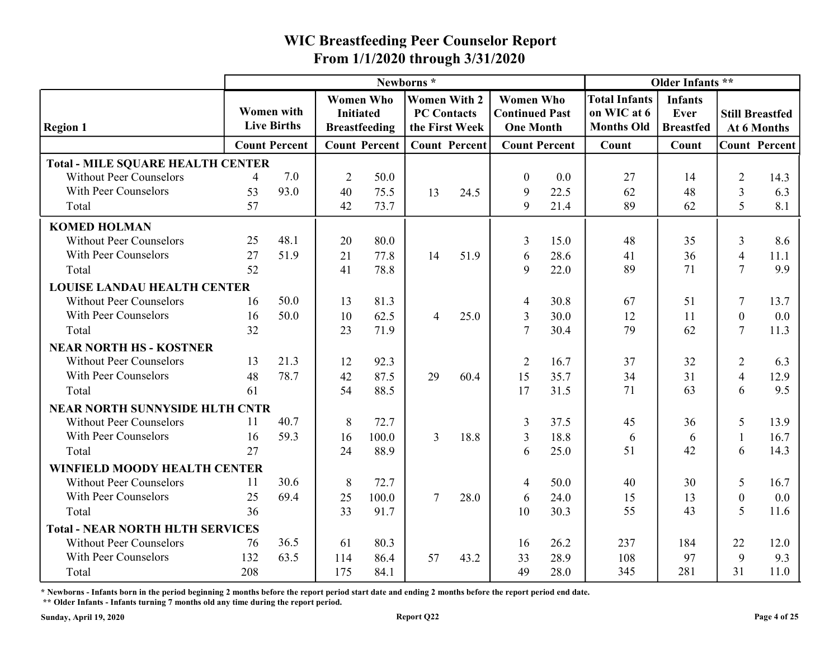|                                                                  |          |                                         |                  |                      | Newborns*                            |      |                                           |              |                                  | Older Infants **         |                     |                                       |
|------------------------------------------------------------------|----------|-----------------------------------------|------------------|----------------------|--------------------------------------|------|-------------------------------------------|--------------|----------------------------------|--------------------------|---------------------|---------------------------------------|
|                                                                  |          |                                         | <b>Women Who</b> |                      | <b>Women With 2</b>                  |      | <b>Women Who</b>                          |              | <b>Total Infants</b>             | <b>Infants</b>           |                     |                                       |
| <b>Region 1</b>                                                  |          | <b>Women</b> with<br><b>Live Births</b> | <b>Initiated</b> | <b>Breastfeeding</b> | <b>PC Contacts</b><br>the First Week |      | <b>Continued Past</b><br><b>One Month</b> |              | on WIC at 6<br><b>Months Old</b> | Ever<br><b>Breastfed</b> |                     | <b>Still Breastfed</b><br>At 6 Months |
|                                                                  |          | <b>Count Percent</b>                    |                  | <b>Count Percent</b> | <b>Count Percent</b>                 |      | <b>Count Percent</b>                      |              | Count                            | Count                    |                     | <b>Count Percent</b>                  |
| <b>Total - MILE SQUARE HEALTH CENTER</b>                         |          |                                         |                  |                      |                                      |      |                                           |              |                                  |                          |                     |                                       |
| <b>Without Peer Counselors</b>                                   | 4        | 7.0                                     | $\overline{2}$   | 50.0                 |                                      |      | $\theta$                                  | 0.0          | 27                               | 14                       | $\overline{2}$      | 14.3                                  |
| With Peer Counselors                                             | 53       | 93.0                                    | 40               | 75.5                 | 13                                   | 24.5 | 9                                         | 22.5         | 62                               | 48                       | 3                   | 6.3                                   |
| Total                                                            | 57       |                                         | 42               | 73.7                 |                                      |      | 9                                         | 21.4         | 89                               | 62                       | 5                   | 8.1                                   |
| <b>KOMED HOLMAN</b>                                              |          |                                         |                  |                      |                                      |      |                                           |              |                                  |                          |                     |                                       |
| <b>Without Peer Counselors</b>                                   | 25       | 48.1                                    | 20               | 80.0                 |                                      |      | 3                                         | 15.0         | 48                               | 35                       | 3                   | 8.6                                   |
| With Peer Counselors                                             | 27       | 51.9                                    | 21               | 77.8                 | 14                                   | 51.9 | 6                                         | 28.6         | 41                               | 36                       | $\overline{4}$      | 11.1                                  |
| Total                                                            | 52       |                                         | 41               | 78.8                 |                                      |      | 9                                         | 22.0         | 89                               | 71                       | $\tau$              | 9.9                                   |
| <b>LOUISE LANDAU HEALTH CENTER</b>                               |          |                                         |                  |                      |                                      |      |                                           |              |                                  |                          |                     |                                       |
| <b>Without Peer Counselors</b>                                   | 16       | 50.0<br>50.0                            | 13               | 81.3                 |                                      |      |                                           | 30.8         | 67                               | 51                       | 7                   | 13.7                                  |
| With Peer Counselors<br>Total                                    | 16<br>32 |                                         | 10<br>23         | 62.5<br>71.9         | $\overline{4}$                       | 25.0 | 3                                         | 30.0<br>30.4 | 12<br>79                         | 11<br>62                 | $\overline{0}$<br>7 | 0.0<br>11.3                           |
|                                                                  |          |                                         |                  |                      |                                      |      |                                           |              |                                  |                          |                     |                                       |
| <b>NEAR NORTH HS - KOSTNER</b><br><b>Without Peer Counselors</b> | 13       | 21.3                                    | 12               | 92.3                 |                                      |      | 2                                         | 16.7         | 37                               | 32                       | $\overline{2}$      | 6.3                                   |
| With Peer Counselors                                             | 48       | 78.7                                    | 42               | 87.5                 | 29                                   | 60.4 | 15                                        | 35.7         | 34                               | 31                       | 4                   | 12.9                                  |
| Total                                                            | 61       |                                         | 54               | 88.5                 |                                      |      | 17                                        | 31.5         | 71                               | 63                       | 6                   | 9.5                                   |
| <b>NEAR NORTH SUNNYSIDE HLTH CNTR</b>                            |          |                                         |                  |                      |                                      |      |                                           |              |                                  |                          |                     |                                       |
| <b>Without Peer Counselors</b>                                   | -11      | 40.7                                    | 8                | 72.7                 |                                      |      | 3                                         | 37.5         | 45                               | 36                       | 5                   | 13.9                                  |
| With Peer Counselors                                             | 16       | 59.3                                    | 16               | 100.0                | $\mathfrak{Z}$                       | 18.8 | 3                                         | 18.8         | -6                               | 6                        | $\perp$             | 16.7                                  |
| Total                                                            | 27       |                                         | 24               | 88.9                 |                                      |      | 6                                         | 25.0         | 51                               | 42                       | 6                   | 14.3                                  |
| WINFIELD MOODY HEALTH CENTER                                     |          |                                         |                  |                      |                                      |      |                                           |              |                                  |                          |                     |                                       |
| <b>Without Peer Counselors</b>                                   | -11      | 30.6                                    | 8                | 72.7                 |                                      |      | $\overline{4}$                            | 50.0         | 40                               | 30                       | 5                   | 16.7                                  |
| With Peer Counselors                                             | 25       | 69.4                                    | 25               | 100.0                | $\tau$                               | 28.0 | 6                                         | 24.0         | 15                               | 13                       | $\mathbf{0}$        | $0.0\,$                               |
| Total                                                            | 36       |                                         | 33               | 91.7                 |                                      |      | 10                                        | 30.3         | 55                               | 43                       | 5                   | 11.6                                  |
| <b>Total - NEAR NORTH HLTH SERVICES</b>                          |          |                                         |                  |                      |                                      |      |                                           |              |                                  |                          |                     |                                       |
| <b>Without Peer Counselors</b>                                   | 76       | 36.5                                    | 61               | 80.3                 |                                      |      | 16                                        | 26.2         | 237                              | 184                      | 22                  | 12.0                                  |
| With Peer Counselors                                             | 132      | 63.5                                    | 114              | 86.4                 | 57                                   | 43.2 | 33                                        | 28.9         | 108                              | 97                       | 9                   | 9.3                                   |
| Total                                                            | 208      |                                         | 175              | 84.1                 |                                      |      | 49                                        | 28.0         | 345                              | 281                      | 31                  | 11.0                                  |

\* Newborns - Infants born in the period beginning 2 months before the report period start date and ending 2 months before the report period end date.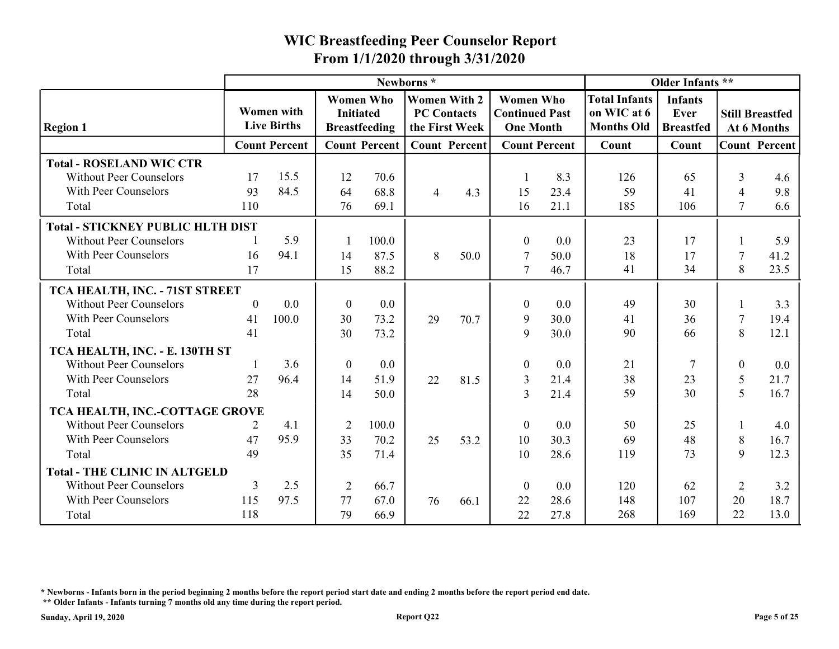|                                                                   |           |                                         |                  |                                          | From 1/1/2020 through 3/31/2020                             |      | <b>WIC Breastfeeding Peer Counselor Report</b>                |              |                                                          |                                            |                          |                                       |
|-------------------------------------------------------------------|-----------|-----------------------------------------|------------------|------------------------------------------|-------------------------------------------------------------|------|---------------------------------------------------------------|--------------|----------------------------------------------------------|--------------------------------------------|--------------------------|---------------------------------------|
|                                                                   |           |                                         |                  |                                          | Newborns*                                                   |      |                                                               |              |                                                          | Older Infants **                           |                          |                                       |
| <b>Region 1</b>                                                   |           | <b>Women</b> with<br><b>Live Births</b> | <b>Initiated</b> | <b>Women Who</b><br><b>Breastfeeding</b> | <b>Women With 2</b><br><b>PC Contacts</b><br>the First Week |      | <b>Women Who</b><br><b>Continued Past</b><br><b>One Month</b> |              | <b>Total Infants</b><br>on WIC at 6<br><b>Months Old</b> | <b>Infants</b><br>Ever<br><b>Breastfed</b> |                          | <b>Still Breastfed</b><br>At 6 Months |
|                                                                   |           | <b>Count Percent</b>                    |                  | <b>Count Percent</b>                     | <b>Count Percent</b>                                        |      | <b>Count Percent</b>                                          |              | Count                                                    | Count                                      |                          | <b>Count Percent</b>                  |
| <b>Total - ROSELAND WIC CTR</b><br><b>Without Peer Counselors</b> | 17        | 15.5                                    | 12               | 70.6                                     |                                                             |      |                                                               | 8.3          | 126                                                      | 65                                         | 3                        | 4.6                                   |
| With Peer Counselors<br>Total                                     | 93<br>110 | 84.5                                    | 64<br>76         | 68.8<br>69.1                             | $\overline{4}$                                              | 4.3  | 15<br>16                                                      | 23.4<br>21.1 | 59<br>185                                                | 41<br>106                                  | $\overline{4}$<br>$\tau$ | 9.8<br>6.6                            |
| <b>Total - STICKNEY PUBLIC HLTH DIST</b>                          |           |                                         |                  |                                          |                                                             |      |                                                               |              |                                                          |                                            |                          |                                       |
| <b>Without Peer Counselors</b>                                    |           | 5.9                                     |                  | 100.0                                    |                                                             |      | $\boldsymbol{0}$                                              | 0.0          | 23                                                       | 17                                         |                          | 5.9                                   |
| With Peer Counselors                                              | 16        | 94.1                                    | 14               | 87.5                                     | 8                                                           | 50.0 | -7                                                            | 50.0         | 18                                                       | 17                                         | 7                        | 41.2                                  |
| Total                                                             | 17        |                                         | 15               | 88.2                                     |                                                             |      | $\overline{7}$                                                | 46.7         | 41                                                       | 34                                         | 8                        | 23.5                                  |
| TCA HEALTH, INC. - 71ST STREET                                    |           |                                         |                  |                                          |                                                             |      |                                                               |              |                                                          |                                            |                          |                                       |
| <b>Without Peer Counselors</b>                                    | $\theta$  | 0.0                                     | $\overline{0}$   | 0.0                                      |                                                             |      | $\Omega$                                                      | 0.0          | 49                                                       | 30                                         |                          | 3.3                                   |
| With Peer Counselors                                              | 41        | 100.0                                   | 30               | 73.2                                     | 29                                                          | 70.7 | 9                                                             | 30.0         | 41                                                       | 36                                         | 7                        | 19.4                                  |
| Total                                                             | 41        |                                         | 30               | 73.2                                     |                                                             |      | -9                                                            | 30.0         | 90                                                       | 66                                         | 8                        | 12.1                                  |
| TCA HEALTH, INC. - E. 130TH ST                                    |           |                                         |                  |                                          |                                                             |      |                                                               |              |                                                          |                                            |                          |                                       |
| <b>Without Peer Counselors</b>                                    |           | 3.6                                     | $\overline{0}$   | 0.0                                      |                                                             |      | $\mathbf{0}$                                                  | 0.0          | 21                                                       | $\tau$                                     | $\boldsymbol{0}$         | $0.0\,$                               |
| With Peer Counselors                                              | 27        | 96.4                                    | 14               | 51.9                                     | 22                                                          | 81.5 | 3                                                             | 21.4         | 38                                                       | 23                                         | 5                        | 21.7                                  |
| Total                                                             | 28        |                                         | 14               | 50.0                                     |                                                             |      | 3                                                             | 21.4         | 59                                                       | 30                                         | 5                        | 16.7                                  |
| TCA HEALTH, INC.-COTTAGE GROVE                                    |           |                                         |                  |                                          |                                                             |      |                                                               |              |                                                          |                                            |                          |                                       |
| <b>Without Peer Counselors</b>                                    |           | 4.1                                     | $\overline{2}$   | 100.0                                    |                                                             |      | $\theta$                                                      | 0.0          | 50                                                       | 25                                         |                          | 4.0                                   |
| With Peer Counselors                                              | 47        | 95.9                                    | 33               | 70.2                                     | 25                                                          | 53.2 | 10                                                            | 30.3         | 69                                                       | 48                                         | 8                        | 16.7                                  |
| Total                                                             | 49        |                                         | 35               | 71.4                                     |                                                             |      | 10                                                            | 28.6         | 119                                                      | 73                                         | 9                        | 12.3                                  |
| <b>Total - THE CLINIC IN ALTGELD</b>                              |           |                                         |                  |                                          |                                                             |      |                                                               |              |                                                          |                                            |                          |                                       |
| <b>Without Peer Counselors</b>                                    | 3         | 2.5                                     | $\overline{2}$   | 66.7                                     |                                                             |      | $\boldsymbol{0}$                                              | 0.0          | 120                                                      | 62                                         | $\overline{2}$           | 3.2                                   |
| With Peer Counselors                                              | 115       | 97.5                                    | 77               | 67.0                                     | 76                                                          | 66.1 | 22                                                            | 28.6         | 148                                                      | 107                                        | 20                       | 18.7                                  |
| Total                                                             | 118       |                                         | 79               | 66.9                                     |                                                             |      | 22                                                            | 27.8         | 268                                                      | 169                                        | 22                       | 13.0                                  |

\* Newborns - Infants born in the period beginning 2 months before the report period start date and ending 2 months before the report period end date.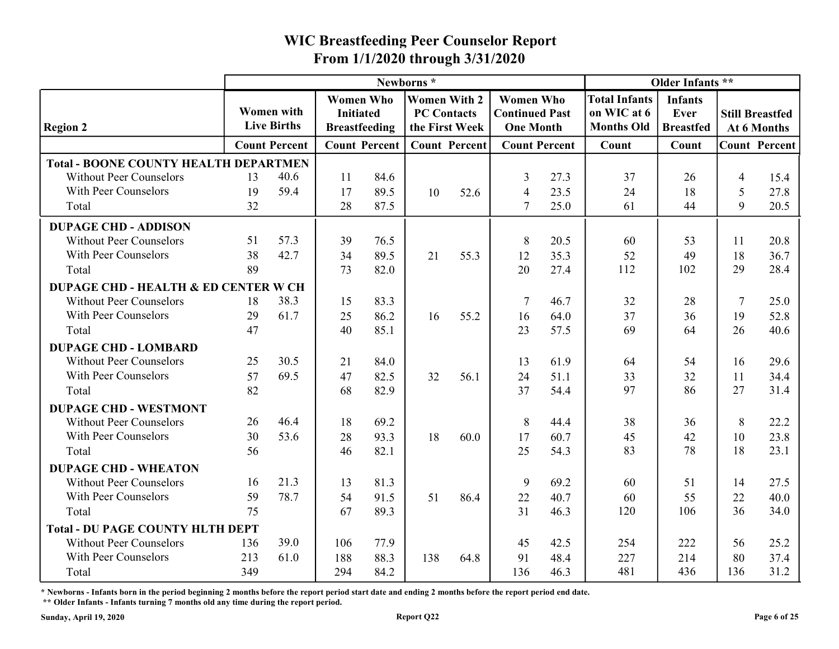|                                                        |          |                                         |                                          |              | Newborns*                            |      |                                           |                      |                                  | Older Infants **         |                |                                       |
|--------------------------------------------------------|----------|-----------------------------------------|------------------------------------------|--------------|--------------------------------------|------|-------------------------------------------|----------------------|----------------------------------|--------------------------|----------------|---------------------------------------|
|                                                        |          |                                         | <b>Women Who</b>                         |              | <b>Women With 2</b>                  |      | <b>Women Who</b>                          |                      | <b>Total Infants</b>             | <b>Infants</b>           |                |                                       |
| <b>Region 2</b>                                        |          | <b>Women with</b><br><b>Live Births</b> | <b>Initiated</b><br><b>Breastfeeding</b> |              | <b>PC Contacts</b><br>the First Week |      | <b>Continued Past</b><br><b>One Month</b> |                      | on WIC at 6<br><b>Months Old</b> | Ever<br><b>Breastfed</b> |                | <b>Still Breastfed</b><br>At 6 Months |
|                                                        |          | <b>Count Percent</b>                    | <b>Count Percent</b>                     |              | <b>Count Percent</b>                 |      |                                           | <b>Count Percent</b> | Count                            | Count                    |                | <b>Count Percent</b>                  |
| <b>Total - BOONE COUNTY HEALTH DEPARTMEN</b>           |          |                                         |                                          |              |                                      |      |                                           |                      |                                  |                          |                |                                       |
| <b>Without Peer Counselors</b>                         | 13       | 40.6                                    | 11                                       | 84.6         |                                      |      | 3                                         | 27.3                 | 37                               | 26                       | $\overline{4}$ | 15.4                                  |
| With Peer Counselors                                   | 19       | 59.4                                    | 17                                       | 89.5         | 10                                   | 52.6 | $\overline{4}$                            | 23.5                 | 24                               | 18                       | 5              | 27.8                                  |
| Total                                                  | 32       |                                         | 28                                       | 87.5         |                                      |      |                                           | 25.0                 | 61                               | 44                       | 9              | 20.5                                  |
| <b>DUPAGE CHD - ADDISON</b>                            |          |                                         |                                          |              |                                      |      |                                           |                      |                                  |                          |                |                                       |
| <b>Without Peer Counselors</b>                         | 51       | 57.3                                    | 39                                       | 76.5         |                                      |      | 8                                         | 20.5                 | 60                               | 53                       | -11            | 20.8                                  |
| With Peer Counselors                                   | 38       | 42.7                                    | 34                                       | 89.5         | 21                                   | 55.3 | 12                                        | 35.3                 | 52                               | 49                       | 18             | 36.7                                  |
| Total                                                  | 89       |                                         | 73                                       | 82.0         |                                      |      | 20                                        | 27.4                 | 112                              | 102                      | 29             | 28.4                                  |
| <b>DUPAGE CHD - HEALTH &amp; ED CENTER W CH</b>        |          |                                         |                                          |              |                                      |      |                                           |                      |                                  |                          |                |                                       |
| <b>Without Peer Counselors</b><br>With Peer Counselors | 18       | 38.3<br>61.7                            | 15                                       | 83.3         |                                      |      |                                           | 46.7                 | 32                               | 28                       |                | 25.0                                  |
| Total                                                  | 29<br>47 |                                         | 25<br>40                                 | 86.2<br>85.1 | 16                                   | 55.2 | 16<br>23                                  | 64.0<br>57.5         | 37<br>69                         | 36<br>64                 | 19<br>26       | 52.8<br>40.6                          |
| <b>DUPAGE CHD - LOMBARD</b>                            |          |                                         |                                          |              |                                      |      |                                           |                      |                                  |                          |                |                                       |
| <b>Without Peer Counselors</b>                         | 25       | 30.5                                    | 21                                       | 84.0         |                                      |      | 13                                        | 61.9                 | 64                               | 54                       | 16             | 29.6                                  |
| With Peer Counselors                                   | 57       | 69.5                                    | 47                                       | 82.5         | 32                                   | 56.1 | 24                                        | 51.1                 | 33                               | 32                       | 11             | 34.4                                  |
| Total                                                  | 82       |                                         | 68                                       | 82.9         |                                      |      | 37                                        | 54.4                 | 97                               | 86                       | 27             | 31.4                                  |
| <b>DUPAGE CHD - WESTMONT</b>                           |          |                                         |                                          |              |                                      |      |                                           |                      |                                  |                          |                |                                       |
| <b>Without Peer Counselors</b>                         | 26       | 46.4                                    | 18                                       | 69.2         |                                      |      | 8                                         | 44.4                 | 38                               | 36                       | 8              | 22.2                                  |
| With Peer Counselors                                   | 30       | 53.6                                    | 28                                       | 93.3         | 18                                   | 60.0 | 17                                        | 60.7                 | 45                               | 42                       | 10             | 23.8                                  |
| Total                                                  | 56       |                                         | 46                                       | 82.1         |                                      |      | 25                                        | 54.3                 | 83                               | 78                       | 18             | 23.1                                  |
| <b>DUPAGE CHD - WHEATON</b>                            |          |                                         |                                          |              |                                      |      |                                           |                      |                                  |                          |                |                                       |
| <b>Without Peer Counselors</b>                         | 16       | 21.3                                    | 13                                       | 81.3         |                                      |      | 9                                         | 69.2                 | 60                               | 51                       | 14             | 27.5                                  |
| With Peer Counselors                                   | 59       | 78.7                                    | 54                                       | 91.5         | 51                                   | 86.4 | 22                                        | 40.7                 | 60                               | 55                       | 22             | 40.0                                  |
| Total                                                  | 75       |                                         | 67                                       | 89.3         |                                      |      | 31                                        | 46.3                 | 120                              | 106                      | 36             | 34.0                                  |
| <b>Total - DU PAGE COUNTY HLTH DEPT</b>                |          |                                         |                                          |              |                                      |      |                                           |                      |                                  |                          |                |                                       |
| <b>Without Peer Counselors</b>                         | 136      | 39.0                                    | 106                                      | 77.9         |                                      |      | 45                                        | 42.5                 | 254                              | 222                      | 56             | 25.2                                  |
| With Peer Counselors                                   | 213      | 61.0                                    | 188                                      | 88.3         | 138                                  | 64.8 | 91                                        | 48.4                 | 227                              | 214                      | 80             | 37.4                                  |
| Total                                                  | 349      |                                         | 294                                      | 84.2         |                                      |      | 136                                       | 46.3                 | 481                              | 436                      | 136            | 31.2                                  |

\* Newborns - Infants born in the period beginning 2 months before the report period start date and ending 2 months before the report period end date.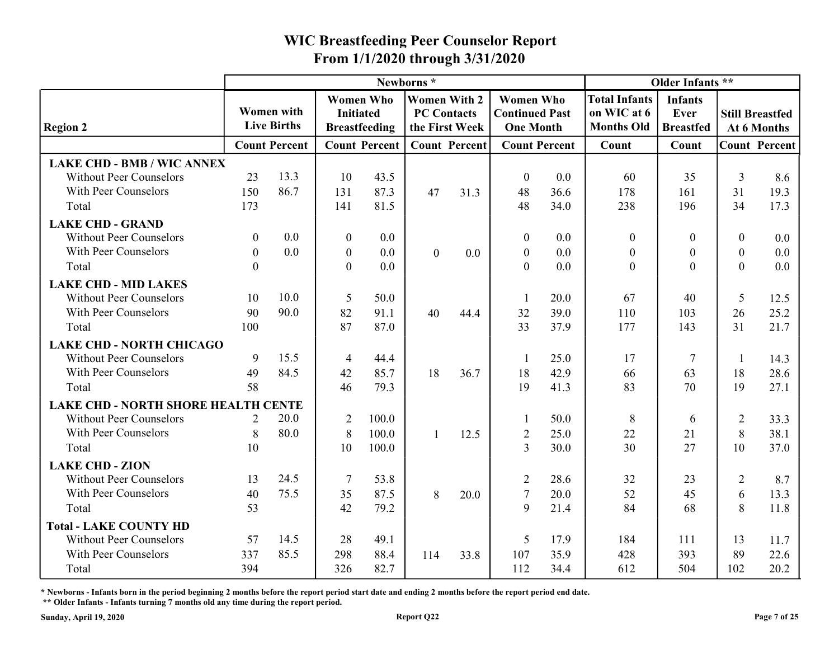|                                                                              |                  |                                         |                                      |                      | From 1/1/2020 through 3/31/2020                             |      |                                                               |                      |                                                          |                                            |                  |                                       |
|------------------------------------------------------------------------------|------------------|-----------------------------------------|--------------------------------------|----------------------|-------------------------------------------------------------|------|---------------------------------------------------------------|----------------------|----------------------------------------------------------|--------------------------------------------|------------------|---------------------------------------|
|                                                                              |                  |                                         |                                      |                      | Newborns*                                                   |      |                                                               |                      |                                                          | Older Infants **                           |                  |                                       |
| <b>Region 2</b>                                                              |                  | <b>Women</b> with<br><b>Live Births</b> | <b>Women Who</b><br><b>Initiated</b> | <b>Breastfeeding</b> | <b>Women With 2</b><br><b>PC Contacts</b><br>the First Week |      | <b>Women Who</b><br><b>Continued Past</b><br><b>One Month</b> |                      | <b>Total Infants</b><br>on WIC at 6<br><b>Months Old</b> | <b>Infants</b><br>Ever<br><b>Breastfed</b> |                  | <b>Still Breastfed</b><br>At 6 Months |
|                                                                              |                  | <b>Count Percent</b>                    |                                      | <b>Count Percent</b> | <b>Count Percent</b>                                        |      |                                                               | <b>Count Percent</b> | Count                                                    | Count                                      |                  | <b>Count Percent</b>                  |
| <b>LAKE CHD - BMB / WIC ANNEX</b>                                            |                  |                                         |                                      |                      |                                                             |      |                                                               |                      |                                                          |                                            |                  |                                       |
| <b>Without Peer Counselors</b>                                               | 23               | 13.3                                    | 10                                   | 43.5                 |                                                             |      | $\boldsymbol{0}$                                              | 0.0                  | 60                                                       | 35                                         | 3                | 8.6                                   |
| With Peer Counselors                                                         | 150              | 86.7                                    | 131                                  | 87.3                 | 47                                                          | 31.3 | 48                                                            | 36.6                 | 178                                                      | 161                                        | 31               | 19.3                                  |
| Total                                                                        | 173              |                                         | 141                                  | 81.5                 |                                                             |      | 48                                                            | 34.0                 | 238                                                      | 196                                        | 34               | 17.3                                  |
| <b>LAKE CHD - GRAND</b>                                                      |                  |                                         |                                      |                      |                                                             |      |                                                               |                      |                                                          |                                            |                  |                                       |
| Without Peer Counselors                                                      | $\boldsymbol{0}$ | 0.0                                     | $\boldsymbol{0}$                     | 0.0                  |                                                             |      | $\boldsymbol{0}$                                              | 0.0                  | $\boldsymbol{0}$                                         | $\boldsymbol{0}$                           | $\boldsymbol{0}$ | $0.0\,$                               |
| With Peer Counselors                                                         | $\boldsymbol{0}$ | 0.0                                     | $\boldsymbol{0}$                     | 0.0                  | $\theta$                                                    | 0.0  | $\boldsymbol{0}$                                              | 0.0                  | $\boldsymbol{0}$                                         | $\theta$<br>$\Omega$                       | $\mathbf{0}$     | 0.0                                   |
| Total                                                                        | $\Omega$         |                                         | $\overline{0}$                       | 0.0                  |                                                             |      | $\mathbf{0}$                                                  | 0.0                  | $\theta$                                                 |                                            | $\overline{0}$   | 0.0                                   |
| <b>LAKE CHD - MID LAKES</b>                                                  |                  |                                         |                                      |                      |                                                             |      |                                                               |                      |                                                          |                                            |                  |                                       |
| <b>Without Peer Counselors</b>                                               | 10               | 10.0                                    | 5                                    | 50.0                 |                                                             |      |                                                               | 20.0                 | 67                                                       | 40                                         | 5                | 12.5                                  |
| With Peer Counselors                                                         | 90<br>100        | 90.0                                    | 82<br>87                             | 91.1                 | 40                                                          | 44.4 | 32                                                            | 39.0<br>37.9         | 110<br>177                                               | 103<br>143                                 | 26<br>31         | 25.2                                  |
| Total                                                                        |                  |                                         |                                      | 87.0                 |                                                             |      | 33                                                            |                      |                                                          |                                            |                  | 21.7                                  |
| <b>LAKE CHD - NORTH CHICAGO</b><br><b>Without Peer Counselors</b>            | 9                | 15.5                                    |                                      |                      |                                                             |      |                                                               |                      |                                                          | $\overline{7}$                             |                  |                                       |
| With Peer Counselors                                                         | 49               | 84.5                                    | $\overline{4}$<br>42                 | 44.4<br>85.7         | 18                                                          | 36.7 | 18                                                            | 25.0<br>42.9         | 17<br>66                                                 | 63                                         | 18               | 14.3<br>28.6                          |
| Total                                                                        | 58               |                                         | 46                                   | 79.3                 |                                                             |      | 19                                                            | 41.3                 | 83                                                       | 70                                         | 19               | 27.1                                  |
|                                                                              |                  |                                         |                                      |                      |                                                             |      |                                                               |                      |                                                          |                                            |                  |                                       |
| <b>LAKE CHD - NORTH SHORE HEALTH CENTE</b><br><b>Without Peer Counselors</b> | 2                | 20.0                                    | $\overline{2}$                       | 100.0                |                                                             |      |                                                               | 50.0                 | 8                                                        | $\theta$                                   | 2                | 33.3                                  |
| With Peer Counselors                                                         | 8                | 80.0                                    | 8                                    | 100.0                |                                                             | 12.5 | $\overline{2}$                                                | 25.0                 | 22                                                       | 21                                         | 8                | 38.1                                  |
| Total                                                                        | 10               |                                         | 10                                   | 100.0                |                                                             |      | $\overline{3}$                                                | 30.0                 | 30                                                       | 27                                         | 10               | 37.0                                  |
| <b>LAKE CHD - ZION</b>                                                       |                  |                                         |                                      |                      |                                                             |      |                                                               |                      |                                                          |                                            |                  |                                       |
| <b>Without Peer Counselors</b>                                               | 13               | 24.5                                    |                                      | 53.8                 |                                                             |      | $\overline{2}$                                                | 28.6                 | 32                                                       | 23                                         | $\overline{2}$   | 8.7                                   |
| With Peer Counselors                                                         | 40               | 75.5                                    | 35                                   | 87.5                 | 8                                                           | 20.0 |                                                               | $20.0\,$             | 52                                                       | 45                                         | 6                | 13.3                                  |
| Total                                                                        | 53               |                                         | 42                                   | 79.2                 |                                                             |      | 9                                                             | 21.4                 | 84                                                       | 68                                         | 8                | 11.8                                  |
| <b>Total - LAKE COUNTY HD</b>                                                |                  |                                         |                                      |                      |                                                             |      |                                                               |                      |                                                          |                                            |                  |                                       |
| <b>Without Peer Counselors</b>                                               | 57               | 14.5                                    | 28                                   | 49.1                 |                                                             |      | -5                                                            | 17.9                 | 184                                                      | 111                                        | 13               | 11.7                                  |
|                                                                              | 337              | 85.5                                    | 298                                  | 88.4                 | 114                                                         | 33.8 | 107                                                           | 35.9                 | 428                                                      | 393                                        | 89               | 22.6                                  |
| With Peer Counselors                                                         |                  |                                         |                                      |                      |                                                             |      |                                                               | 34.4                 | 612                                                      | 504                                        | 102              | 20.2                                  |

\* Newborns - Infants born in the period beginning 2 months before the report period start date and ending 2 months before the report period end date.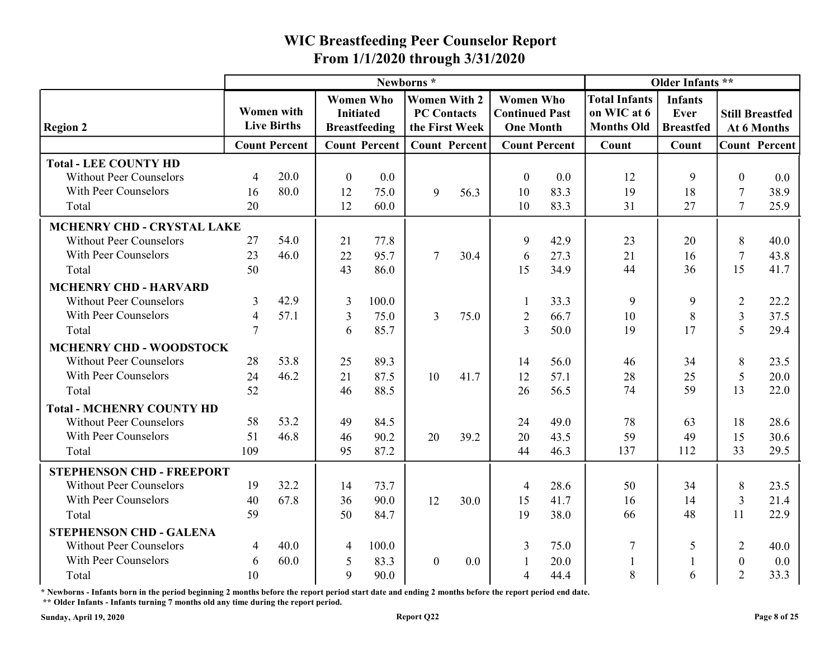|                                  |                |                                         |                                      |                      | Newborns*                                                   |         |                                                               |                      |                                                          | Older Infants **                           |                  |                                       |
|----------------------------------|----------------|-----------------------------------------|--------------------------------------|----------------------|-------------------------------------------------------------|---------|---------------------------------------------------------------|----------------------|----------------------------------------------------------|--------------------------------------------|------------------|---------------------------------------|
| <b>Region 2</b>                  |                | <b>Women with</b><br><b>Live Births</b> | <b>Women Who</b><br><b>Initiated</b> | <b>Breastfeeding</b> | <b>Women With 2</b><br><b>PC Contacts</b><br>the First Week |         | <b>Women Who</b><br><b>Continued Past</b><br><b>One Month</b> |                      | <b>Total Infants</b><br>on WIC at 6<br><b>Months Old</b> | <b>Infants</b><br>Ever<br><b>Breastfed</b> |                  | <b>Still Breastfed</b><br>At 6 Months |
|                                  |                | <b>Count Percent</b>                    |                                      | <b>Count Percent</b> | <b>Count Percent</b>                                        |         |                                                               | <b>Count Percent</b> | Count                                                    | Count                                      |                  | <b>Count Percent</b>                  |
| <b>Total - LEE COUNTY HD</b>     |                |                                         |                                      |                      |                                                             |         |                                                               |                      |                                                          |                                            |                  |                                       |
| <b>Without Peer Counselors</b>   | $\overline{4}$ | 20.0                                    | $\theta$                             | 0.0                  |                                                             |         | $\theta$                                                      | 0.0                  | 12                                                       |                                            | $\Omega$         | 0.0                                   |
| With Peer Counselors             | 16             | 80.0                                    | 12                                   | 75.0                 | 9                                                           | 56.3    | 10                                                            | 83.3                 | 19                                                       | 18                                         | 7                | 38.9                                  |
| Total                            | 20             |                                         | 12                                   | 60.0                 |                                                             |         | 10                                                            | 83.3                 | 31                                                       | 27                                         | $\tau$           | 25.9                                  |
| MCHENRY CHD - CRYSTAL LAKE       |                |                                         |                                      |                      |                                                             |         |                                                               |                      |                                                          |                                            |                  |                                       |
| <b>Without Peer Counselors</b>   | 27             | 54.0                                    | 21                                   | 77.8                 |                                                             |         | 9                                                             | 42.9                 | 23                                                       | 20                                         | 8                | 40.0                                  |
| With Peer Counselors             | 23             | 46.0                                    | 22                                   | 95.7                 | 7                                                           | 30.4    | 6                                                             | 27.3                 | 21                                                       | 16                                         | $\tau$           | 43.8                                  |
| Total                            | 50             |                                         | 43                                   | 86.0                 |                                                             |         | 15                                                            | 34.9                 | 44                                                       | 36                                         | 15               | 41.7                                  |
| <b>MCHENRY CHD - HARVARD</b>     |                |                                         |                                      |                      |                                                             |         |                                                               |                      |                                                          |                                            |                  |                                       |
| <b>Without Peer Counselors</b>   | 3              | 42.9                                    | 3                                    | 100.0                |                                                             |         |                                                               | 33.3                 | -9                                                       | 9                                          | 2                | 22.2                                  |
| With Peer Counselors             |                | 57.1                                    | 3                                    | 75.0                 | 3                                                           | 75.0    | $\overline{2}$                                                | 66.7                 | 10                                                       | 8                                          | 3                | 37.5                                  |
| Total                            |                |                                         | 6                                    | 85.7                 |                                                             |         | 3                                                             | 50.0                 | 19                                                       | 17                                         | 5                | 29.4                                  |
| MCHENRY CHD - WOODSTOCK          |                |                                         |                                      |                      |                                                             |         |                                                               |                      |                                                          |                                            |                  |                                       |
| <b>Without Peer Counselors</b>   | 28             | 53.8                                    | 25                                   | 89.3                 |                                                             |         | 14                                                            | 56.0                 | 46                                                       | 34                                         | 8                | 23.5                                  |
| With Peer Counselors             | 24             | 46.2                                    | 21                                   | 87.5                 | 10                                                          | 41.7    | 12                                                            | 57.1                 | 28                                                       | 25                                         | 5                | 20.0                                  |
| Total                            | 52             |                                         | 46                                   | 88.5                 |                                                             |         | 26                                                            | 56.5                 | 74                                                       | 59                                         | 13               | 22.0                                  |
| <b>Total - MCHENRY COUNTY HD</b> |                |                                         |                                      |                      |                                                             |         |                                                               |                      |                                                          |                                            |                  |                                       |
| <b>Without Peer Counselors</b>   | 58             | 53.2                                    | 49                                   | 84.5                 |                                                             |         | 24                                                            | 49.0                 | 78                                                       | 63                                         | 18               | 28.6                                  |
| With Peer Counselors             | 51             | 46.8                                    | 46                                   | 90.2                 | 20                                                          | 39.2    | 20                                                            | 43.5                 | 59                                                       | 49                                         | 15               | 30.6                                  |
| Total                            | 109            |                                         | 95                                   | 87.2                 |                                                             |         | 44                                                            | 46.3                 | 137                                                      | 112                                        | 33               | 29.5                                  |
| <b>STEPHENSON CHD - FREEPORT</b> |                |                                         |                                      |                      |                                                             |         |                                                               |                      |                                                          |                                            |                  |                                       |
| <b>Without Peer Counselors</b>   | 19             | 32.2                                    | 14                                   | 73.7                 |                                                             |         | $\overline{4}$                                                | 28.6                 | 50                                                       | 34                                         | 8                | 23.5                                  |
| With Peer Counselors             | 40             | 67.8                                    | 36                                   | 90.0                 | 12                                                          | 30.0    | 15                                                            | 41.7                 | 16                                                       | 14                                         | 3                | 21.4                                  |
| Total                            | 59             |                                         | 50                                   | 84.7                 |                                                             |         | 19                                                            | 38.0                 | 66                                                       | 48                                         | 11               | 22.9                                  |
| <b>STEPHENSON CHD - GALENA</b>   |                |                                         |                                      |                      |                                                             |         |                                                               |                      |                                                          |                                            |                  |                                       |
| <b>Without Peer Counselors</b>   | 4              | 40.0                                    | $\overline{4}$                       | 100.0                |                                                             |         | 3                                                             | 75.0                 | 7                                                        | .5                                         | $\overline{2}$   | 40.0                                  |
| With Peer Counselors             | 6              | 60.0                                    | $\overline{5}$                       | 83.3                 | $\overline{0}$                                              | $0.0\,$ |                                                               | 20.0                 |                                                          |                                            | $\boldsymbol{0}$ | $0.0\,$                               |
| Total                            | 10             |                                         | 9                                    | 90.0                 |                                                             |         | $\overline{4}$                                                | 44.4                 | $\,8\,$                                                  | 6                                          | $\overline{2}$   | 33.3                                  |

\* Newborns - Infants born in the period beginning 2 months before the report period start date and ending 2 months before the report period end date.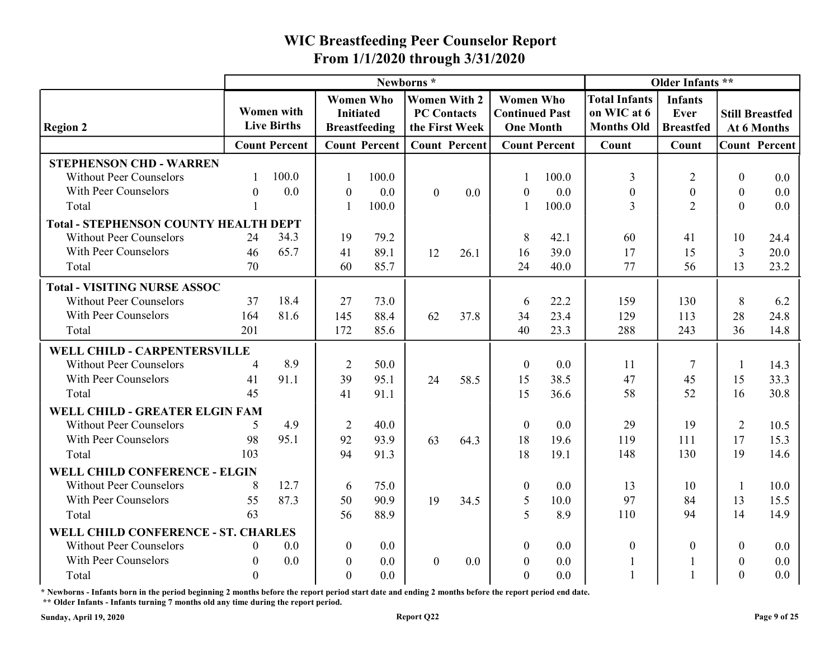|                                              |                  |                                  |                  |                      | Newborns*                            |         |                                           |                      |                                  | Older Infants **                           |                |                                       |
|----------------------------------------------|------------------|----------------------------------|------------------|----------------------|--------------------------------------|---------|-------------------------------------------|----------------------|----------------------------------|--------------------------------------------|----------------|---------------------------------------|
|                                              |                  |                                  |                  | <b>Women Who</b>     | <b>Women With 2</b>                  |         | <b>Women Who</b>                          |                      | <b>Total Infants</b>             |                                            |                |                                       |
| <b>Region 2</b>                              |                  | Women with<br><b>Live Births</b> | <b>Initiated</b> | <b>Breastfeeding</b> | <b>PC Contacts</b><br>the First Week |         | <b>Continued Past</b><br><b>One Month</b> |                      | on WIC at 6<br><b>Months Old</b> | <b>Infants</b><br>Ever<br><b>Breastfed</b> |                | <b>Still Breastfed</b><br>At 6 Months |
|                                              |                  | <b>Count Percent</b>             |                  | <b>Count Percent</b> | <b>Count Percent</b>                 |         |                                           | <b>Count Percent</b> | Count                            | Count                                      |                | <b>Count Percent</b>                  |
| <b>STEPHENSON CHD - WARREN</b>               |                  |                                  |                  |                      |                                      |         |                                           |                      |                                  |                                            |                |                                       |
| <b>Without Peer Counselors</b>               |                  | 100.0                            |                  | 100.0                |                                      |         |                                           | 100.0                | 3                                | 2                                          | $\Omega$       | 0.0                                   |
| With Peer Counselors                         | $\boldsymbol{0}$ | 0.0                              | $\theta$         | 0.0                  | $\overline{0}$                       | 0.0     | $\Omega$                                  | 0.0                  | $\boldsymbol{0}$                 | $\boldsymbol{0}$                           | $\mathbf{0}$   | $0.0\,$                               |
| Total                                        |                  |                                  |                  | 100.0                |                                      |         |                                           | 100.0                | $\overline{3}$                   | $\mathcal{D}$                              | $\overline{0}$ | 0.0                                   |
| <b>Total - STEPHENSON COUNTY HEALTH DEPT</b> |                  |                                  |                  |                      |                                      |         |                                           |                      |                                  |                                            |                |                                       |
| <b>Without Peer Counselors</b>               | 24               | 34.3                             | 19               | 79.2                 |                                      |         | 8                                         | 42.1                 | 60                               | 41                                         | 10             | 24.4                                  |
| With Peer Counselors                         | 46               | 65.7                             | 41               | 89.1                 | 12                                   | 26.1    | 16                                        | 39.0                 | 17                               | 15                                         | 3              | 20.0                                  |
| Total                                        | 70               |                                  | 60               | 85.7                 |                                      |         | 24                                        | 40.0                 | 77                               | 56                                         | 13             | 23.2                                  |
| <b>Total - VISITING NURSE ASSOC</b>          |                  |                                  |                  |                      |                                      |         |                                           |                      |                                  |                                            |                |                                       |
| <b>Without Peer Counselors</b>               | 37               | 18.4                             | 27               | 73.0                 |                                      |         | -6                                        | 22.2                 | 159                              | 130                                        | 8              | 6.2                                   |
| With Peer Counselors                         | 164              | 81.6                             | 145              | 88.4                 | 62                                   | 37.8    | 34                                        | 23.4                 | 129                              | 113                                        | 28             | 24.8                                  |
| Total                                        | 201              |                                  | 172              | 85.6                 |                                      |         | 40                                        | 23.3                 | 288                              | 243                                        | 36             | 14.8                                  |
| WELL CHILD - CARPENTERSVILLE                 |                  |                                  |                  |                      |                                      |         |                                           |                      |                                  |                                            |                |                                       |
| <b>Without Peer Counselors</b>               | $\overline{A}$   | 8.9                              | $\overline{2}$   | 50.0                 |                                      |         | $\boldsymbol{0}$                          | 0.0                  | <sup>11</sup>                    | 7                                          |                | 14.3                                  |
| With Peer Counselors                         | 41               | 91.1                             | 39               | 95.1                 | 24                                   | 58.5    | 15                                        | 38.5                 | 47                               | 45                                         | 15             | 33.3                                  |
| Total                                        | 45               |                                  | 41               | 91.1                 |                                      |         | 15                                        | 36.6                 | 58                               | 52                                         | 16             | 30.8                                  |
| WELL CHILD - GREATER ELGIN FAM               |                  |                                  |                  |                      |                                      |         |                                           |                      |                                  |                                            |                |                                       |
| <b>Without Peer Counselors</b>               |                  | 4.9                              | $\overline{2}$   | 40.0                 |                                      |         | $\theta$                                  | 0.0                  | 29                               | 19                                         | $\overline{2}$ | 10.5                                  |
| With Peer Counselors                         | 98               | 95.1                             | 92               | 93.9                 | 63                                   | 64.3    | 18                                        | 19.6                 | 119                              | 111                                        | 17             | 15.3                                  |
| Total                                        | 103              |                                  | 94               | 91.3                 |                                      |         | 18                                        | 19.1                 | 148                              | 130                                        | 19             | 14.6                                  |
| WELL CHILD CONFERENCE - ELGIN                |                  |                                  |                  |                      |                                      |         |                                           |                      |                                  |                                            |                |                                       |
| <b>Without Peer Counselors</b>               | 8                | 12.7                             | 6                | 75.0                 |                                      |         | $\boldsymbol{0}$                          | 0.0                  | 13                               | 10                                         |                | 10.0                                  |
| With Peer Counselors                         | 55               | 87.3                             | 50               | 90.9                 | 19                                   | 34.5    | $\overline{5}$                            | 10.0                 | 97                               | 84                                         | 13             | 15.5                                  |
| Total                                        | 63               |                                  | 56               | 88.9                 |                                      |         | 5                                         | 8.9                  | 110                              | 94                                         | 14             | 14.9                                  |
| WELL CHILD CONFERENCE - ST. CHARLES          |                  |                                  |                  |                      |                                      |         |                                           |                      |                                  |                                            |                |                                       |
| <b>Without Peer Counselors</b>               | $\theta$         | 0.0                              | $\overline{0}$   | $0.0\,$              |                                      |         | $\boldsymbol{0}$                          | 0.0                  | $\boldsymbol{0}$                 | $\theta$                                   | $\overline{0}$ | $0.0\,$                               |
| With Peer Counselors                         | $\boldsymbol{0}$ | $0.0\,$                          | $\boldsymbol{0}$ | $0.0\,$              | $\overline{0}$                       | $0.0\,$ | $\boldsymbol{0}$                          | 0.0                  |                                  |                                            | $\mathbf{0}$   | $0.0\,$                               |
| Total                                        | $\boldsymbol{0}$ |                                  | $\overline{0}$   | $0.0\,$              |                                      |         | $\overline{0}$                            | 0.0                  |                                  |                                            | $\overline{0}$ | $0.0\,$                               |

\* Newborns - Infants born in the period beginning 2 months before the report period start date and ending 2 months before the report period end date.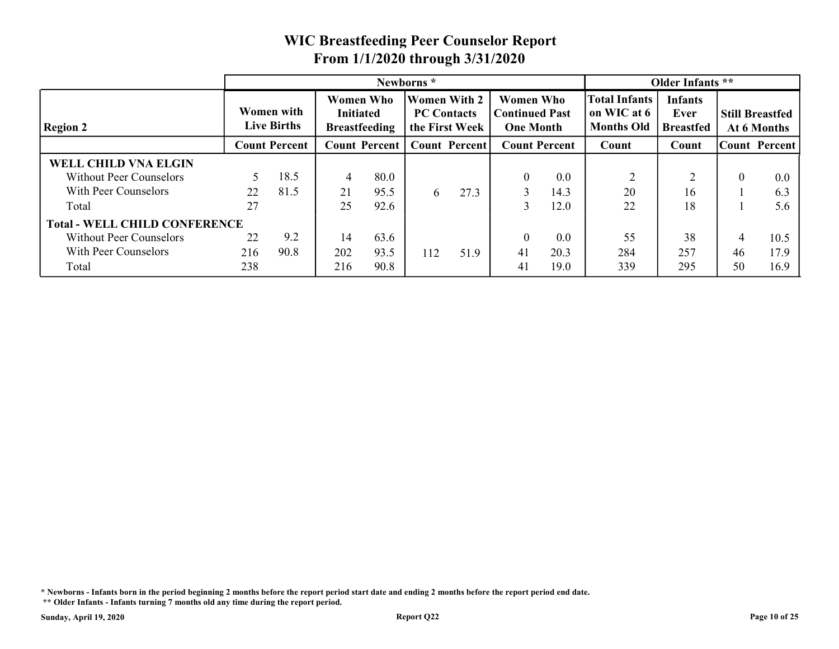|                                      |     |                                         |                                      |                      |                                                             |      | <b>WIC Breastfeeding Peer Counselor Report</b>                |                      |                                                          |                                            |          |                                       |
|--------------------------------------|-----|-----------------------------------------|--------------------------------------|----------------------|-------------------------------------------------------------|------|---------------------------------------------------------------|----------------------|----------------------------------------------------------|--------------------------------------------|----------|---------------------------------------|
|                                      |     |                                         | From 1/1/2020 through 3/31/2020      |                      |                                                             |      |                                                               |                      |                                                          |                                            |          |                                       |
|                                      |     |                                         |                                      |                      | Newborns*                                                   |      |                                                               |                      |                                                          | Older Infants **                           |          |                                       |
| <b>Region 2</b>                      |     | <b>Women</b> with<br><b>Live Births</b> | <b>Women Who</b><br><b>Initiated</b> | <b>Breastfeeding</b> | <b>Women With 2</b><br><b>PC Contacts</b><br>the First Week |      | <b>Women Who</b><br><b>Continued Past</b><br><b>One Month</b> |                      | <b>Total Infants</b><br>on WIC at 6<br><b>Months Old</b> | <b>Infants</b><br>Ever<br><b>Breastfed</b> |          | <b>Still Breastfed</b><br>At 6 Months |
|                                      |     | <b>Count Percent</b>                    |                                      | <b>Count Percent</b> | <b>Count Percent</b>                                        |      |                                                               | <b>Count Percent</b> | Count                                                    | Count                                      |          | <b>Count Percent</b>                  |
| <b>WELL CHILD VNA ELGIN</b>          |     |                                         |                                      |                      |                                                             |      |                                                               |                      |                                                          |                                            |          |                                       |
| <b>Without Peer Counselors</b>       | 5   | 18.5                                    | $\overline{4}$                       | 80.0                 |                                                             |      | $\theta$                                                      | 0.0                  | 2                                                        | $\bigcap$                                  | $\theta$ | 0.0                                   |
| With Peer Counselors                 | 22  | 81.5                                    | 21                                   | 95.5                 | 6                                                           | 27.3 | 3                                                             | 14.3                 | 20                                                       | 16                                         |          | 6.3                                   |
| Total                                | 27  |                                         | 25                                   | 92.6                 |                                                             |      | 3                                                             | 12.0                 | 22                                                       | 18                                         |          | 5.6                                   |
| <b>Total - WELL CHILD CONFERENCE</b> |     |                                         |                                      |                      |                                                             |      |                                                               |                      |                                                          |                                            |          |                                       |
| <b>Without Peer Counselors</b>       | 22  | 9.2                                     | 14                                   | 63.6                 |                                                             |      | $\bigcap$                                                     | 0.0                  | 55                                                       | 38                                         | 4        | 10.5                                  |
|                                      |     |                                         |                                      |                      | 112                                                         | 51.9 | 41                                                            | 20.3                 | 284                                                      | 257                                        | 46       | 17.9                                  |
| With Peer Counselors                 | 216 | 90.8                                    | 202                                  | 93.5                 |                                                             |      |                                                               |                      |                                                          | 295                                        |          |                                       |

\* Newborns - Infants born in the period beginning 2 months before the report period start date and ending 2 months before the report period end date.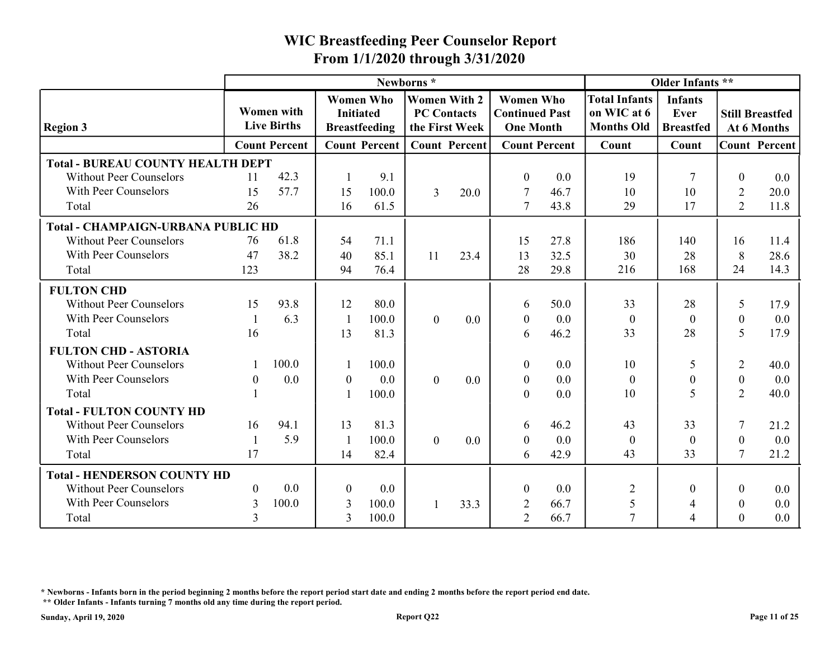|                                                                                                    |          |                                         |                | From 1/1/2020 through 3/31/2020                              |                                                                          |         | <b>WIC Breastfeeding Peer Counselor Report</b>                |                      |                                                          |                                                                |                   |                                       |
|----------------------------------------------------------------------------------------------------|----------|-----------------------------------------|----------------|--------------------------------------------------------------|--------------------------------------------------------------------------|---------|---------------------------------------------------------------|----------------------|----------------------------------------------------------|----------------------------------------------------------------|-------------------|---------------------------------------|
|                                                                                                    |          |                                         |                |                                                              |                                                                          |         |                                                               |                      |                                                          |                                                                |                   |                                       |
| <b>Region 3</b>                                                                                    |          | <b>Women with</b><br><b>Live Births</b> |                | <b>Women Who</b><br><b>Initiated</b><br><b>Breastfeeding</b> | Newborns*<br><b>Women With 2</b><br><b>PC Contacts</b><br>the First Week |         | <b>Women Who</b><br><b>Continued Past</b><br><b>One Month</b> |                      | <b>Total Infants</b><br>on WIC at 6<br><b>Months Old</b> | Older Infants **<br><b>Infants</b><br>Ever<br><b>Breastfed</b> |                   | <b>Still Breastfed</b><br>At 6 Months |
|                                                                                                    |          | <b>Count Percent</b>                    |                | <b>Count Percent</b>                                         | <b>Count Percent</b>                                                     |         |                                                               | <b>Count Percent</b> | Count                                                    | Count                                                          |                   | <b>Count Percent</b>                  |
| <b>Total - BUREAU COUNTY HEALTH DEPT</b><br><b>Without Peer Counselors</b><br>With Peer Counselors | 11<br>15 | 42.3<br>57.7                            | 15             | 9.1<br>100.0                                                 | 3                                                                        | 20.0    | $\theta$<br>7                                                 | 0.0<br>46.7          | 19<br>10                                                 | 10                                                             | $\mathbf{0}$<br>2 | 0.0<br>20.0                           |
| Total                                                                                              | 26       |                                         | 16             | 61.5                                                         |                                                                          |         | $\overline{7}$                                                | 43.8                 | 29                                                       | 17                                                             | 2                 | 11.8                                  |
| <b>Total - CHAMPAIGN-URBANA PUBLIC HD</b>                                                          |          |                                         |                |                                                              |                                                                          |         |                                                               |                      |                                                          |                                                                |                   |                                       |
| <b>Without Peer Counselors</b>                                                                     | 76       | 61.8                                    | 54             | 71.1                                                         |                                                                          |         | 15                                                            | 27.8                 | 186                                                      | 140                                                            | 16                | 11.4                                  |
| With Peer Counselors                                                                               | 47       | 38.2                                    | 40             | 85.1                                                         | 11                                                                       | 23.4    | 13                                                            | 32.5                 | 30                                                       | 28                                                             | 8                 | 28.6                                  |
| Total                                                                                              | 123      |                                         | 94             | 76.4                                                         |                                                                          |         | 28                                                            | 29.8                 | 216                                                      | 168                                                            | 24                | 14.3                                  |
| <b>FULTON CHD</b>                                                                                  |          |                                         |                |                                                              |                                                                          |         |                                                               |                      |                                                          |                                                                |                   |                                       |
| <b>Without Peer Counselors</b>                                                                     | 15       | 93.8                                    | 12             | 80.0                                                         |                                                                          |         | 6                                                             | 50.0                 | 33                                                       | 28                                                             | 5                 | 17.9                                  |
| With Peer Counselors                                                                               |          | 6.3                                     | - 1            | 100.0                                                        | $\overline{0}$                                                           | 0.0     | $\theta$                                                      | 0.0                  | $\boldsymbol{0}$                                         | $\theta$                                                       | $\mathbf{0}$      | $0.0\,$                               |
| Total                                                                                              | 16       |                                         | 13             | 81.3                                                         |                                                                          |         | 6                                                             | 46.2                 | 33                                                       | 28                                                             | 5                 | 17.9                                  |
| <b>FULTON CHD - ASTORIA</b>                                                                        |          |                                         |                |                                                              |                                                                          |         |                                                               |                      |                                                          |                                                                |                   |                                       |
| <b>Without Peer Counselors</b>                                                                     |          | 100.0                                   |                | 100.0                                                        |                                                                          |         | $\overline{0}$                                                | 0.0                  | 10                                                       | 5                                                              | $\overline{2}$    | 40.0                                  |
| With Peer Counselors                                                                               | $\theta$ | 0.0                                     | $\theta$       | 0.0                                                          | $\overline{0}$                                                           | 0.0     | $\boldsymbol{0}$                                              | 0.0                  | $\theta$                                                 | $\theta$                                                       | $\boldsymbol{0}$  | 0.0                                   |
| Total                                                                                              |          |                                         |                | 100.0                                                        |                                                                          |         | $\overline{0}$                                                | 0.0                  | 10                                                       | 5                                                              | 2                 | 40.0                                  |
| <b>Total - FULTON COUNTY HD</b>                                                                    |          |                                         |                |                                                              |                                                                          |         |                                                               |                      |                                                          |                                                                |                   |                                       |
| <b>Without Peer Counselors</b>                                                                     | 16       | 94.1                                    | 13             | 81.3                                                         |                                                                          |         | 6                                                             | 46.2                 | 43                                                       | 33                                                             |                   | 21.2                                  |
| With Peer Counselors                                                                               |          | 5.9                                     |                | 100.0                                                        | $\overline{0}$                                                           | $0.0\,$ | $\boldsymbol{0}$                                              | 0.0                  | $\boldsymbol{0}$                                         | $\boldsymbol{0}$                                               | $\mathbf{0}$      | 0.0                                   |
| Total                                                                                              | 17       |                                         | 14             | 82.4                                                         |                                                                          |         | 6                                                             | 42.9                 | 43                                                       | 33                                                             | $\tau$            | 21.2                                  |
| <b>Total - HENDERSON COUNTY HD</b>                                                                 |          |                                         |                |                                                              |                                                                          |         |                                                               |                      |                                                          |                                                                |                   |                                       |
| <b>Without Peer Counselors</b>                                                                     | $\theta$ | 0.0                                     | $\theta$       | 0.0                                                          |                                                                          |         | $\boldsymbol{0}$                                              | 0.0                  | 2                                                        | $\Omega$                                                       | $\theta$          | 0.0                                   |
|                                                                                                    | 3        | 100.0                                   | $\overline{3}$ | 100.0                                                        |                                                                          | 33.3    | 2                                                             | 66.7                 | 5                                                        |                                                                | $\boldsymbol{0}$  | $0.0\,$                               |
| With Peer Counselors                                                                               |          |                                         |                |                                                              |                                                                          |         |                                                               |                      |                                                          |                                                                |                   |                                       |

\* Newborns - Infants born in the period beginning 2 months before the report period start date and ending 2 months before the report period end date.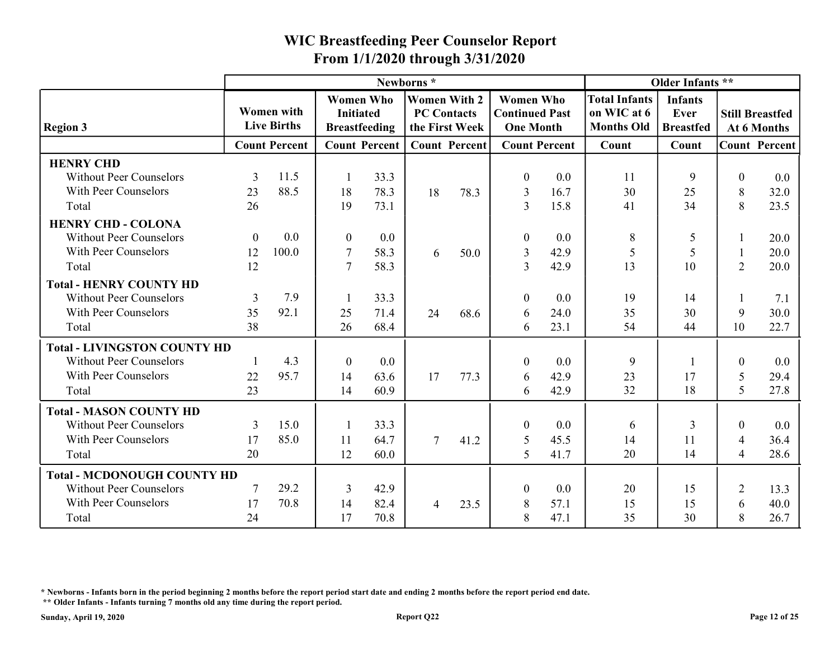|                                                                                                        |                              |                                  | From 1/1/2020 through 3/31/2020 |                                          |                                                             |                      | <b>WIC Breastfeeding Peer Counselor Report</b>                |                      |                                                          |                                            |                                              |                                       |
|--------------------------------------------------------------------------------------------------------|------------------------------|----------------------------------|---------------------------------|------------------------------------------|-------------------------------------------------------------|----------------------|---------------------------------------------------------------|----------------------|----------------------------------------------------------|--------------------------------------------|----------------------------------------------|---------------------------------------|
|                                                                                                        |                              |                                  |                                 |                                          | Newborns*                                                   |                      |                                                               |                      |                                                          | Older Infants **                           |                                              |                                       |
| <b>Region 3</b>                                                                                        |                              | Women with<br><b>Live Births</b> | <b>Initiated</b>                | <b>Women Who</b><br><b>Breastfeeding</b> | <b>Women With 2</b><br><b>PC Contacts</b><br>the First Week |                      | <b>Women Who</b><br><b>Continued Past</b><br><b>One Month</b> |                      | <b>Total Infants</b><br>on WIC at 6<br><b>Months Old</b> | <b>Infants</b><br>Ever<br><b>Breastfed</b> |                                              | <b>Still Breastfed</b><br>At 6 Months |
|                                                                                                        |                              | <b>Count Percent</b>             |                                 | <b>Count Percent</b>                     |                                                             | <b>Count Percent</b> |                                                               | <b>Count Percent</b> | Count                                                    | Count                                      |                                              | <b>Count Percent</b>                  |
| <b>HENRY CHD</b><br><b>Without Peer Counselors</b><br>With Peer Counselors<br>Total                    | 3<br>23<br>26                | 11.5<br>88.5                     | 18<br>19                        | 33.3<br>78.3<br>73.1                     | 18                                                          | 78.3                 | $\boldsymbol{0}$<br>$\mathfrak{Z}$<br>3                       | 0.0<br>16.7<br>15.8  | 11<br>30<br>41                                           | 9<br>25<br>34                              | $\Omega$<br>8<br>8                           | 0.0<br>32.0<br>23.5                   |
| <b>HENRY CHD - COLONA</b><br><b>Without Peer Counselors</b><br>With Peer Counselors<br>Total           | $\boldsymbol{0}$<br>12<br>12 | $0.0\,$<br>100.0                 | $\theta$<br>-7<br>7             | $0.0\,$<br>58.3<br>58.3                  | 6                                                           | 50.0                 | 3<br>3                                                        | 0.0<br>42.9<br>42.9  | 8<br>5<br>13                                             | 5<br>5<br>10                               | 2                                            | 20.0<br>20.0<br>20.0                  |
| <b>Total - HENRY COUNTY HD</b><br><b>Without Peer Counselors</b><br>With Peer Counselors<br>Total      | 3<br>35<br>38                | 7.9<br>92.1                      | 25<br>26                        | 33.3<br>71.4<br>68.4                     | 24                                                          | 68.6                 | 6<br>6                                                        | 0.0<br>24.0<br>23.1  | 19<br>35<br>54                                           | 14<br>30<br>44                             | 9<br>10                                      | 7.1<br>30.0<br>22.7                   |
| <b>Total - LIVINGSTON COUNTY HD</b><br><b>Without Peer Counselors</b><br>With Peer Counselors<br>Total | $22\,$<br>23                 | 4.3<br>95.7                      | $\theta$<br>14<br>14            | $0.0\,$<br>63.6<br>60.9                  | 17                                                          | 77.3                 | $\boldsymbol{0}$<br>6<br>6                                    | 0.0<br>42.9<br>42.9  | 9<br>23<br>32                                            | 17<br>18                                   | $\mathbf{0}$<br>5<br>5                       | 0.0<br>29.4<br>27.8                   |
| <b>Total - MASON COUNTY HD</b><br><b>Without Peer Counselors</b><br>With Peer Counselors<br>Total      | 3<br>17<br>20                | 15.0<br>85.0                     | 11<br>12                        | 33.3<br>64.7<br>60.0                     | $\tau$                                                      | 41.2                 | $\overline{0}$<br>5<br>$5\overline{)}$                        | 0.0<br>45.5<br>41.7  | -6<br>14<br>20                                           | 3<br>11<br>14                              | $\Omega$<br>$\overline{4}$<br>$\overline{4}$ | $0.0\,$<br>36.4<br>28.6               |
| <b>Total - MCDONOUGH COUNTY HD</b><br><b>Without Peer Counselors</b><br>With Peer Counselors<br>Total  | 7<br>17<br>24                | 29.2<br>70.8                     | 3<br>14<br>17                   | 42.9<br>82.4<br>70.8                     | $\overline{4}$                                              | 23.5                 | $\overline{0}$<br>8<br>8                                      | 0.0<br>57.1<br>47.1  | 20<br>15<br>35                                           | 15<br>15<br>30                             | $\overline{2}$<br>6<br>8                     | 13.3<br>40.0<br>26.7                  |

\* Newborns - Infants born in the period beginning 2 months before the report period start date and ending 2 months before the report period end date.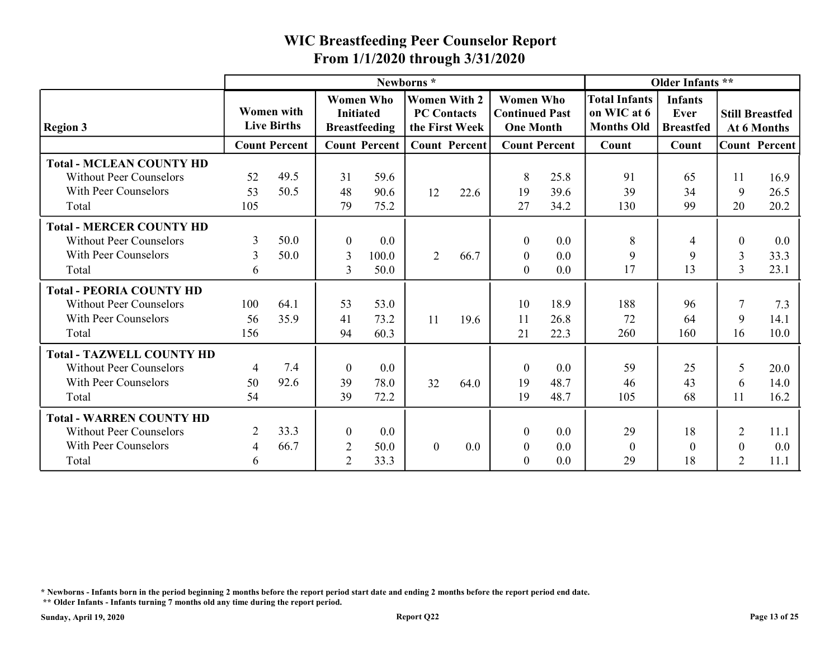|                                                                   |                |                                         |                                  |                                          | From 1/1/2020 through 3/31/2020                             |         | <b>WIC Breastfeeding Peer Counselor Report</b>                |                      |                                                          |                                            |                                  |                                       |
|-------------------------------------------------------------------|----------------|-----------------------------------------|----------------------------------|------------------------------------------|-------------------------------------------------------------|---------|---------------------------------------------------------------|----------------------|----------------------------------------------------------|--------------------------------------------|----------------------------------|---------------------------------------|
|                                                                   |                |                                         |                                  |                                          | Newborns*                                                   |         |                                                               |                      |                                                          | Older Infants **                           |                                  |                                       |
| <b>Region 3</b>                                                   |                | <b>Women</b> with<br><b>Live Births</b> | <b>Initiated</b>                 | <b>Women Who</b><br><b>Breastfeeding</b> | <b>Women With 2</b><br><b>PC Contacts</b><br>the First Week |         | <b>Women Who</b><br><b>Continued Past</b><br><b>One Month</b> |                      | <b>Total Infants</b><br>on WIC at 6<br><b>Months Old</b> | <b>Infants</b><br>Ever<br><b>Breastfed</b> |                                  | <b>Still Breastfed</b><br>At 6 Months |
|                                                                   |                | <b>Count Percent</b>                    |                                  | <b>Count Percent</b>                     | <b>Count Percent</b>                                        |         |                                                               | <b>Count Percent</b> | Count                                                    | Count                                      |                                  | <b>Count Percent</b>                  |
| <b>Total - MCLEAN COUNTY HD</b><br><b>Without Peer Counselors</b> | 52             | 49.5                                    | 31                               | 59.6                                     |                                                             |         | 8                                                             | 25.8                 | 91                                                       | 65                                         | 11                               | 16.9                                  |
| With Peer Counselors<br>Total                                     | 53<br>105      | 50.5                                    | 48<br>79                         | 90.6<br>75.2                             | 12                                                          | 22.6    | 19<br>27                                                      | 39.6<br>34.2         | 39<br>130                                                | 34<br>99                                   | 9<br>20                          | 26.5<br>20.2                          |
| <b>Total - MERCER COUNTY HD</b>                                   |                |                                         |                                  |                                          |                                                             |         |                                                               |                      |                                                          |                                            |                                  |                                       |
| <b>Without Peer Counselors</b>                                    | 3              | 50.0                                    | $\theta$                         | $0.0\,$                                  |                                                             |         | $\boldsymbol{0}$                                              | 0.0                  | 8                                                        |                                            | $\theta$                         | $0.0\,$                               |
| With Peer Counselors<br>Total                                     | 3<br>6         | 50.0                                    | $\overline{3}$<br>$\overline{3}$ | 100.0<br>50.0                            | $\overline{2}$                                              | 66.7    | $\boldsymbol{0}$<br>$\boldsymbol{0}$                          | 0.0<br>0.0           | 9<br>17                                                  | -9<br>13                                   | $\mathfrak{Z}$<br>$\overline{3}$ | 33.3<br>23.1                          |
| <b>Total - PEORIA COUNTY HD</b>                                   |                |                                         |                                  |                                          |                                                             |         |                                                               |                      |                                                          |                                            |                                  |                                       |
| <b>Without Peer Counselors</b>                                    | 100            | 64.1                                    | 53                               | 53.0                                     |                                                             |         | 10                                                            | 18.9                 | 188                                                      | 96                                         |                                  | 7.3                                   |
| With Peer Counselors                                              | 56             | 35.9                                    | 41                               | 73.2                                     | 11                                                          | 19.6    | 11                                                            | 26.8                 | 72                                                       | 64                                         | 9                                | 14.1                                  |
| Total                                                             | 156            |                                         | 94                               | 60.3                                     |                                                             |         | 21                                                            | 22.3                 | 260                                                      | 160                                        | 16                               | 10.0                                  |
| <b>Total - TAZWELL COUNTY HD</b>                                  |                |                                         |                                  |                                          |                                                             |         |                                                               |                      |                                                          |                                            |                                  |                                       |
| <b>Without Peer Counselors</b>                                    | $\overline{4}$ | 7.4                                     | $\bf{0}$                         | $0.0\,$                                  |                                                             |         | $\overline{0}$                                                | 0.0                  | 59                                                       | 25                                         | 5                                | 20.0                                  |
| With Peer Counselors                                              | 50             | 92.6                                    | 39                               | 78.0                                     | 32                                                          | 64.0    | 19                                                            | 48.7                 | 46                                                       | 43                                         | 6                                | 14.0                                  |
| Total                                                             | 54             |                                         | 39                               | 72.2                                     |                                                             |         | 19                                                            | 48.7                 | 105                                                      | 68                                         | 11                               | 16.2                                  |
| <b>Total - WARREN COUNTY HD</b>                                   |                |                                         |                                  |                                          |                                                             |         |                                                               |                      |                                                          |                                            |                                  |                                       |
| <b>Without Peer Counselors</b>                                    | 2              | 33.3                                    | $\bf{0}$                         | $0.0\,$                                  |                                                             |         | $\overline{0}$                                                | 0.0                  | 29                                                       | 18                                         | $\overline{2}$                   | 11.1                                  |
|                                                                   | 4              | 66.7                                    | 2                                | 50.0                                     | $\overline{0}$                                              | $0.0\,$ | $\boldsymbol{0}$                                              | $0.0\,$              | $\boldsymbol{0}$                                         | $\overline{0}$                             | $\boldsymbol{0}$                 | $0.0\,$                               |
| With Peer Counselors                                              |                |                                         |                                  | 33.3                                     |                                                             |         | $\overline{0}$                                                | $0.0\,$              | 29                                                       | 18                                         | 2                                | 11.1                                  |

\* Newborns - Infants born in the period beginning 2 months before the report period start date and ending 2 months before the report period end date.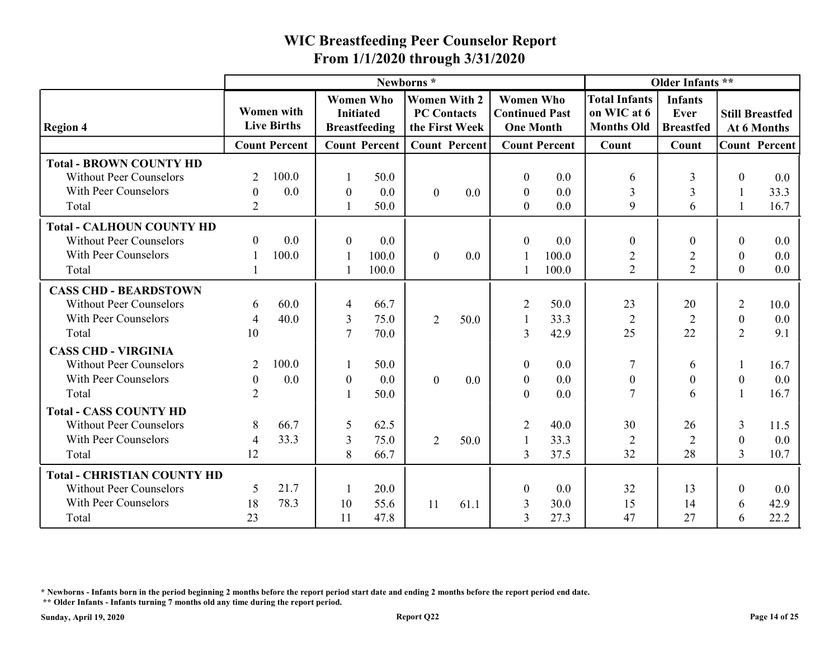| From 1/1/2020 through 3/31/2020<br>Older Infants **<br>Newborns*<br><b>Women Who</b><br><b>Women With 2</b><br><b>Women Who</b><br><b>Total Infants</b><br><b>Infants</b><br>Women with<br><b>Continued Past</b><br>on WIC at 6<br><b>Initiated</b><br><b>PC Contacts</b><br>Ever<br><b>Still Breastfed</b><br><b>Live Births</b><br><b>Months Old</b><br><b>Region 4</b><br>the First Week<br><b>One Month</b><br><b>Breastfeeding</b><br><b>Breastfed</b><br>At 6 Months<br><b>Count Percent</b><br><b>Count Percent</b><br><b>Count Percent</b><br><b>Count Percent</b><br><b>Count Percent</b><br>Count<br>Count<br><b>Total - BROWN COUNTY HD</b><br>100.0<br><b>Without Peer Counselors</b><br>50.0<br>0.0<br>2<br>$\boldsymbol{0}$<br>3<br>$\theta$<br>0.0<br>6 |
|------------------------------------------------------------------------------------------------------------------------------------------------------------------------------------------------------------------------------------------------------------------------------------------------------------------------------------------------------------------------------------------------------------------------------------------------------------------------------------------------------------------------------------------------------------------------------------------------------------------------------------------------------------------------------------------------------------------------------------------------------------------------|
|                                                                                                                                                                                                                                                                                                                                                                                                                                                                                                                                                                                                                                                                                                                                                                        |
|                                                                                                                                                                                                                                                                                                                                                                                                                                                                                                                                                                                                                                                                                                                                                                        |
|                                                                                                                                                                                                                                                                                                                                                                                                                                                                                                                                                                                                                                                                                                                                                                        |
| With Peer Counselors<br>0.0<br>$\overline{3}$<br>0.0<br>0.0<br>3<br>33.3<br>$\boldsymbol{0}$<br>$\boldsymbol{0}$<br>$\boldsymbol{0}$<br>$\overline{0}$<br>0.0<br>-1                                                                                                                                                                                                                                                                                                                                                                                                                                                                                                                                                                                                    |
| $\mathbf Q$<br>16.7<br>50.0<br>2<br>$\overline{0}$<br>0.0<br>6<br>Total                                                                                                                                                                                                                                                                                                                                                                                                                                                                                                                                                                                                                                                                                                |
| <b>Total - CALHOUN COUNTY HD</b><br>0.0<br><b>Without Peer Counselors</b><br>$\overline{0}$<br>0.0<br>0.0<br>0.0<br>$\theta$<br>$\Omega$<br>$\boldsymbol{0}$<br>$\theta$<br>$\overline{0}$                                                                                                                                                                                                                                                                                                                                                                                                                                                                                                                                                                             |
| With Peer Counselors<br>100.0<br>0.0<br>100.0<br>100.0<br>$\boldsymbol{0}$<br>$\overline{2}$<br>$\overline{2}$<br>$0.0\,$<br>$\mathbf{0}$<br>2<br>2<br>$\overline{0}$<br>$0.0\,$<br>Total<br>100.0<br>100.0                                                                                                                                                                                                                                                                                                                                                                                                                                                                                                                                                            |
| <b>CASS CHD - BEARDSTOWN</b>                                                                                                                                                                                                                                                                                                                                                                                                                                                                                                                                                                                                                                                                                                                                           |
| 60.0<br><b>Without Peer Counselors</b><br>66.7<br>50.0<br>23<br>20<br>10.0<br>6<br>$\overline{2}$<br>2<br>$\overline{4}$                                                                                                                                                                                                                                                                                                                                                                                                                                                                                                                                                                                                                                               |
| With Peer Counselors<br>40.0<br>50.0<br>33.3<br>$\overline{3}$<br>75.0<br>2<br>$\overline{2}$<br>$\overline{2}$<br>0.0<br>4<br>$\boldsymbol{0}$<br>$\mathcal{I}$<br>70.0<br>42.9<br>25<br>22<br>$\overline{2}$<br>10<br>9.1<br>Total<br>3                                                                                                                                                                                                                                                                                                                                                                                                                                                                                                                              |
| <b>CASS CHD - VIRGINIA</b>                                                                                                                                                                                                                                                                                                                                                                                                                                                                                                                                                                                                                                                                                                                                             |
| 100.0<br><b>Without Peer Counselors</b><br>2<br>50.0<br>0.0<br>$\boldsymbol{0}$<br>7<br>16.7<br>6                                                                                                                                                                                                                                                                                                                                                                                                                                                                                                                                                                                                                                                                      |
| 0.0<br>$0.0\,$<br>With Peer Counselors<br>0.0<br>0.0<br>$\overline{0}$<br>$\boldsymbol{0}$<br>$\mathbf{0}$<br>0.0<br>$\boldsymbol{0}$<br>$\mathbf{0}$<br>$\boldsymbol{0}$<br>$\boldsymbol{0}$<br>$\overline{7}$<br>$\mathbf{0}$<br>16.7<br>Total<br>2<br>50.0<br>0.0<br>6                                                                                                                                                                                                                                                                                                                                                                                                                                                                                              |
| <b>Total - CASS COUNTY HD</b>                                                                                                                                                                                                                                                                                                                                                                                                                                                                                                                                                                                                                                                                                                                                          |
| 66.7<br>8<br>62.5<br>40.0<br>30<br><b>Without Peer Counselors</b><br>26<br>2<br>3<br>11.5<br>5                                                                                                                                                                                                                                                                                                                                                                                                                                                                                                                                                                                                                                                                         |
| 33.3<br>With Peer Counselors<br>33.3<br>$\overline{4}$<br>75.0<br>2<br>0.0<br>$\overline{3}$<br>50.0<br>$\overline{2}$<br>$\overline{2}$<br>$\boldsymbol{0}$                                                                                                                                                                                                                                                                                                                                                                                                                                                                                                                                                                                                           |
| 12<br>32<br>66.7<br>37.5<br>28<br>Total<br>8<br>$\overline{3}$<br>3<br>10.7                                                                                                                                                                                                                                                                                                                                                                                                                                                                                                                                                                                                                                                                                            |
| <b>Total - CHRISTIAN COUNTY HD</b>                                                                                                                                                                                                                                                                                                                                                                                                                                                                                                                                                                                                                                                                                                                                     |
| 21.7<br>20.0<br>32<br><b>Without Peer Counselors</b><br>5<br>0.0<br>$\theta$<br>13<br>$\theta$<br>$0.0\,$                                                                                                                                                                                                                                                                                                                                                                                                                                                                                                                                                                                                                                                              |
| With Peer Counselors<br>18<br>78.3<br>42.9<br>10<br>55.6<br>30.0<br>15<br>14<br>11<br>61.1<br>3<br>6                                                                                                                                                                                                                                                                                                                                                                                                                                                                                                                                                                                                                                                                   |
| 23<br>47.8<br>47<br>22.2<br>Total<br>11<br>3<br>27.3<br>27<br>6                                                                                                                                                                                                                                                                                                                                                                                                                                                                                                                                                                                                                                                                                                        |

\* Newborns - Infants born in the period beginning 2 months before the report period start date and ending 2 months before the report period end date.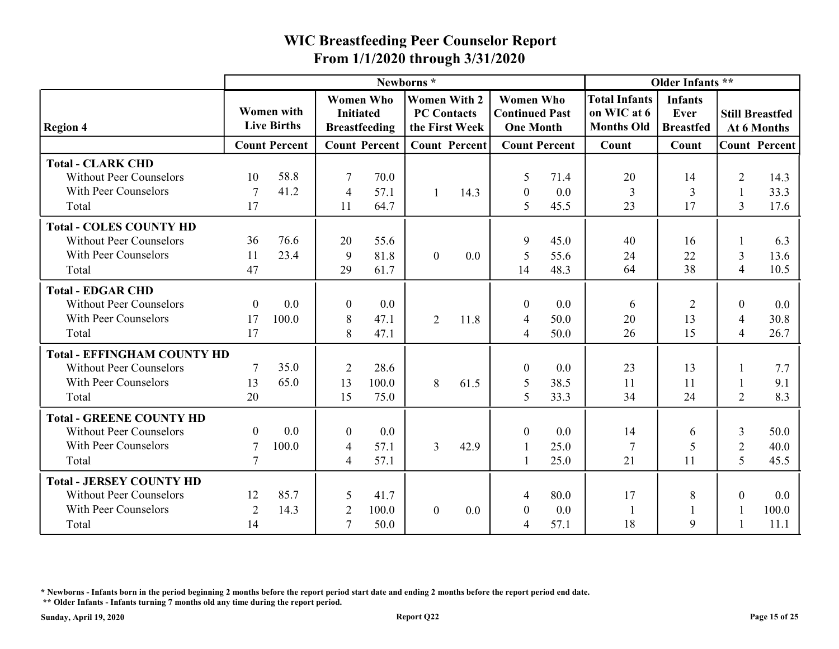|                                                                                                    |                            |                                         | From 1/1/2020 through 3/31/2020        |                       |                                                             |      | <b>WIC Breastfeeding Peer Counselor Report</b>                |                      |                                                          |                                            |                                              |                      |
|----------------------------------------------------------------------------------------------------|----------------------------|-----------------------------------------|----------------------------------------|-----------------------|-------------------------------------------------------------|------|---------------------------------------------------------------|----------------------|----------------------------------------------------------|--------------------------------------------|----------------------------------------------|----------------------|
|                                                                                                    |                            |                                         |                                        |                       | Newborns*                                                   |      |                                                               |                      |                                                          | Older Infants **                           |                                              |                      |
| <b>Region 4</b>                                                                                    |                            | <b>Women</b> with<br><b>Live Births</b> | <b>Women Who</b><br><b>Initiated</b>   | <b>Breastfeeding</b>  | <b>Women With 2</b><br><b>PC Contacts</b><br>the First Week |      | <b>Women Who</b><br><b>Continued Past</b><br><b>One Month</b> |                      | <b>Total Infants</b><br>on WIC at 6<br><b>Months Old</b> | <b>Infants</b><br>Ever<br><b>Breastfed</b> | <b>Still Breastfed</b>                       | At 6 Months          |
|                                                                                                    |                            | <b>Count Percent</b>                    |                                        | <b>Count Percent</b>  | <b>Count Percent</b>                                        |      |                                                               | <b>Count Percent</b> | Count                                                    | Count                                      |                                              | <b>Count Percent</b> |
| <b>Total - CLARK CHD</b><br><b>Without Peer Counselors</b><br>With Peer Counselors<br>Total        | 10<br>7<br>17              | 58.8<br>41.2                            | -7<br>$\overline{4}$<br>11             | 70.0<br>57.1<br>64.7  |                                                             | 14.3 | 5<br>$\boldsymbol{0}$<br>5                                    | 71.4<br>0.0<br>45.5  | 20<br>$\overline{3}$<br>23                               | 14<br>3<br>17                              | 2<br>-1<br>$\overline{3}$                    | 14.3<br>33.3<br>17.6 |
|                                                                                                    |                            |                                         |                                        |                       |                                                             |      |                                                               |                      |                                                          |                                            |                                              |                      |
| <b>Total - COLES COUNTY HD</b><br><b>Without Peer Counselors</b><br>With Peer Counselors<br>Total  | 36<br>11<br>47             | 76.6<br>23.4                            | 20<br>9<br>29                          | 55.6<br>81.8<br>61.7  | $\overline{0}$                                              | 0.0  | 9<br>5<br>14                                                  | 45.0<br>55.6<br>48.3 | 40<br>24<br>64                                           | 16<br>22<br>38                             | $\mathfrak{Z}$<br>$\overline{4}$             | 6.3<br>13.6<br>10.5  |
| <b>Total - EDGAR CHD</b>                                                                           |                            |                                         |                                        |                       |                                                             |      |                                                               |                      |                                                          |                                            |                                              |                      |
| <b>Without Peer Counselors</b><br>With Peer Counselors<br>Total                                    | $\theta$<br>17<br>17       | 0.0<br>100.0                            | $\theta$<br>8<br>8                     | 0.0<br>47.1<br>47.1   | $\overline{2}$                                              | 11.8 | $\overline{0}$<br>$\overline{4}$<br>$\overline{4}$            | 0.0<br>50.0<br>50.0  | 6<br>20<br>26                                            | 2<br>13<br>15                              | $\theta$<br>$\overline{4}$<br>$\overline{4}$ | 0.0<br>30.8<br>26.7  |
| <b>Total - EFFINGHAM COUNTY HD</b>                                                                 |                            |                                         |                                        |                       |                                                             |      |                                                               |                      |                                                          |                                            |                                              |                      |
| <b>Without Peer Counselors</b><br>With Peer Counselors<br>Total                                    | 13<br>20                   | 35.0<br>65.0                            | 2<br>13<br>15                          | 28.6<br>100.0<br>75.0 | 8                                                           | 61.5 | $\boldsymbol{0}$<br>$\mathfrak{S}$<br>$5\overline{)}$         | 0.0<br>38.5<br>33.3  | 23<br>11<br>34                                           | 13<br>11<br>24                             | -1<br>$\overline{2}$                         | 7.7<br>9.1<br>8.3    |
| <b>Total - GREENE COUNTY HD</b>                                                                    |                            |                                         |                                        |                       |                                                             |      |                                                               |                      |                                                          |                                            |                                              |                      |
| <b>Without Peer Counselors</b><br>With Peer Counselors                                             | $\overline{0}$<br>$\tau$   | 0.0<br>100.0                            | $\overline{0}$<br>$\overline{4}$       | $0.0\,$<br>57.1       | 3 <sup>7</sup>                                              | 42.9 | $\boldsymbol{0}$                                              | 0.0<br>25.0          | 14<br>$7\phantom{.0}$                                    | $\mathfrak b$                              | 3<br>$\overline{2}$                          | 50.0<br>40.0         |
| Total                                                                                              | $7\phantom{.0}$            |                                         | $\overline{4}$                         | 57.1                  |                                                             |      |                                                               | 25.0                 | 21                                                       | 11                                         | 5                                            | 45.5                 |
| <b>Total - JERSEY COUNTY HD</b><br><b>Without Peer Counselors</b><br>With Peer Counselors<br>Total | 12<br>$\overline{2}$<br>14 | 85.7<br>14.3                            | $\overline{5}$<br>2<br>$7\phantom{.0}$ | 41.7<br>100.0<br>50.0 | $\overline{0}$                                              | 0.0  | $\overline{4}$<br>$\boldsymbol{0}$<br>$\overline{4}$          | 80.0<br>0.0<br>57.1  | 17<br>-1<br>18                                           | 8<br>9                                     | $\mathbf{0}$<br>-1                           | 0.0<br>100.0<br>11.1 |

\* Newborns - Infants born in the period beginning 2 months before the report period start date and ending 2 months before the report period end date.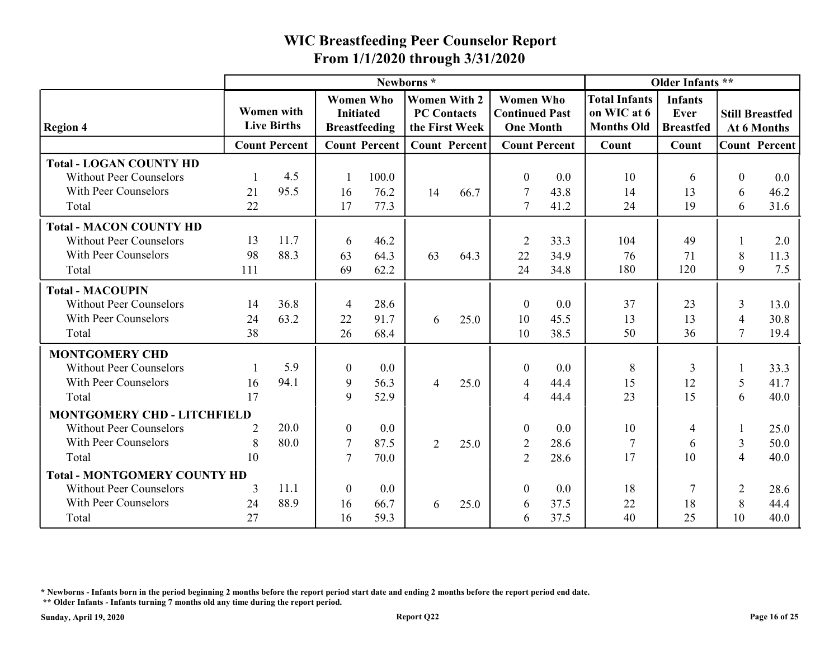|                                                                                                   |                 |                                  | From 1/1/2020 through 3/31/2020 |                                          |                                                             |                      | <b>WIC Breastfeeding Peer Counselor Report</b>                |                      |                                                          |                                            |                     |                                       |
|---------------------------------------------------------------------------------------------------|-----------------|----------------------------------|---------------------------------|------------------------------------------|-------------------------------------------------------------|----------------------|---------------------------------------------------------------|----------------------|----------------------------------------------------------|--------------------------------------------|---------------------|---------------------------------------|
|                                                                                                   |                 |                                  |                                 |                                          | Newborns*                                                   |                      |                                                               |                      |                                                          | Older Infants **                           |                     |                                       |
| <b>Region 4</b>                                                                                   |                 | Women with<br><b>Live Births</b> | <b>Initiated</b>                | <b>Women Who</b><br><b>Breastfeeding</b> | <b>Women With 2</b><br><b>PC Contacts</b><br>the First Week |                      | <b>Women Who</b><br><b>Continued Past</b><br><b>One Month</b> |                      | <b>Total Infants</b><br>on WIC at 6<br><b>Months Old</b> | <b>Infants</b><br>Ever<br><b>Breastfed</b> |                     | <b>Still Breastfed</b><br>At 6 Months |
|                                                                                                   |                 | <b>Count Percent</b>             |                                 | <b>Count Percent</b>                     |                                                             | <b>Count Percent</b> |                                                               | <b>Count Percent</b> | Count                                                    | Count                                      |                     | <b>Count Percent</b>                  |
| <b>Total - LOGAN COUNTY HD</b><br><b>Without Peer Counselors</b><br>With Peer Counselors          | 21<br>22        | 4.5<br>95.5                      | 16<br>17                        | 100.0<br>76.2<br>77.3                    | 14                                                          | 66.7                 | $\boldsymbol{0}$<br>7<br>7                                    | 0.0<br>43.8          | 10<br>14<br>24                                           | 6<br>13<br>19                              | $\theta$<br>6<br>6  | 0.0<br>46.2<br>31.6                   |
| Total                                                                                             |                 |                                  |                                 |                                          |                                                             |                      |                                                               | 41.2                 |                                                          |                                            |                     |                                       |
| <b>Total - MACON COUNTY HD</b><br><b>Without Peer Counselors</b><br>With Peer Counselors<br>Total | 13<br>98<br>111 | 11.7<br>88.3                     | 6<br>63<br>69                   | 46.2<br>64.3<br>62.2                     | 63                                                          | 64.3                 | 2<br>22<br>24                                                 | 33.3<br>34.9<br>34.8 | 104<br>76<br>180                                         | 49<br>71<br>120                            | 8<br>9              | 2.0<br>11.3<br>7.5                    |
| <b>Total - MACOUPIN</b>                                                                           |                 |                                  |                                 |                                          |                                                             |                      |                                                               |                      |                                                          |                                            |                     |                                       |
| <b>Without Peer Counselors</b><br>With Peer Counselors<br>Total                                   | 14<br>24<br>38  | 36.8<br>63.2                     | $\overline{4}$<br>22<br>26      | 28.6<br>91.7<br>68.4                     | 6                                                           | 25.0                 | $\theta$<br>10<br>10                                          | 0.0<br>45.5<br>38.5  | 37<br>13<br>50                                           | 23<br>13<br>36                             | 3<br>4              | 13.0<br>30.8<br>19.4                  |
| <b>MONTGOMERY CHD</b>                                                                             |                 |                                  |                                 |                                          |                                                             |                      |                                                               |                      |                                                          |                                            |                     |                                       |
| <b>Without Peer Counselors</b><br>With Peer Counselors                                            | 16              | 5.9<br>94.1                      | $\overline{0}$<br>9<br>9        | $0.0\,$<br>56.3                          | 4                                                           | 25.0                 | $\boldsymbol{0}$<br>$\overline{4}$                            | 0.0<br>44.4          | 8<br>15<br>23                                            | 3<br>12                                    | 5                   | 33.3<br>41.7                          |
| Total                                                                                             | 17              |                                  |                                 | 52.9                                     |                                                             |                      | $\overline{4}$                                                | 44.4                 |                                                          | 15                                         | 6                   | 40.0                                  |
| <b>MONTGOMERY CHD - LITCHFIELD</b><br><b>Without Peer Counselors</b>                              | 2               | 20.0                             | $\boldsymbol{0}$                | $0.0\,$                                  |                                                             |                      | $\boldsymbol{0}$                                              | 0.0                  | 10                                                       | 4                                          |                     | 25.0                                  |
| With Peer Counselors<br>Total                                                                     | 8<br>10         | 80.0                             | 7<br>$\overline{7}$             | 87.5<br>70.0                             | $\overline{2}$                                              | 25.0                 | $\overline{2}$<br>2                                           | 28.6<br>28.6         | 17                                                       | 6<br>10                                    | 3<br>$\overline{4}$ | 50.0<br>40.0                          |
| <b>Total - MONTGOMERY COUNTY HD</b>                                                               |                 |                                  |                                 |                                          |                                                             |                      |                                                               |                      |                                                          |                                            |                     |                                       |
| <b>Without Peer Counselors</b>                                                                    | 3               | 11.1                             | $\overline{0}$                  | $0.0\,$                                  |                                                             |                      | $\overline{0}$                                                | 0.0                  | 18                                                       |                                            | 2                   | 28.6                                  |
| With Peer Counselors<br>Total                                                                     | 24<br>27        | 88.9                             | 16<br>16                        | 66.7<br>59.3                             | 6                                                           | 25.0                 | 6<br>6                                                        | 37.5<br>37.5         | 22<br>40                                                 | 18<br>25                                   | 8<br>10             | 44.4<br>40.0                          |

\* Newborns - Infants born in the period beginning 2 months before the report period start date and ending 2 months before the report period end date.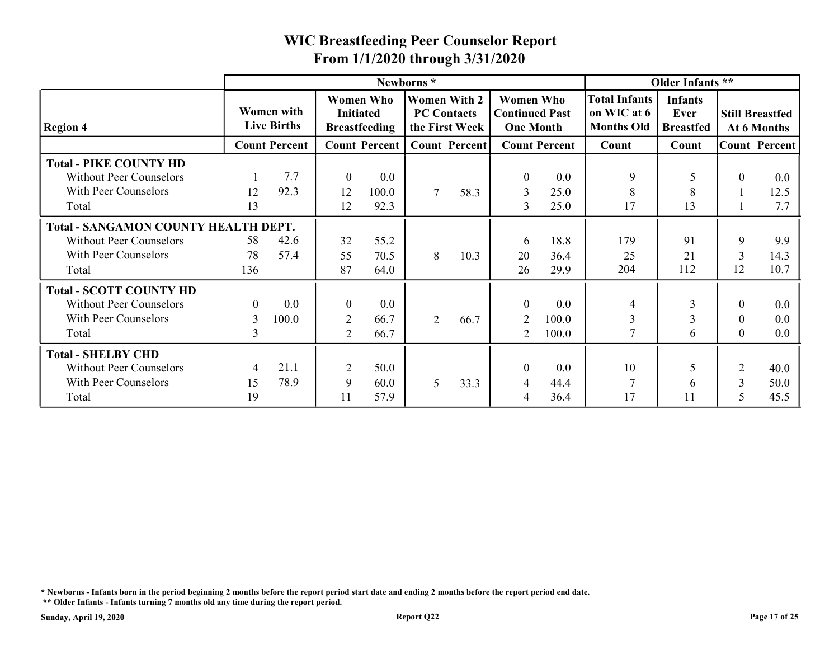|                                                        |                |                                  |                  |                                          | From 1/1/2020 through 3/31/2020                             |                      |                                                               |                      |                                                          |                                            |                        |              |
|--------------------------------------------------------|----------------|----------------------------------|------------------|------------------------------------------|-------------------------------------------------------------|----------------------|---------------------------------------------------------------|----------------------|----------------------------------------------------------|--------------------------------------------|------------------------|--------------|
|                                                        |                |                                  |                  |                                          | Newborns*                                                   |                      |                                                               |                      |                                                          | Older Infants **                           |                        |              |
| <b>Region 4</b>                                        |                | Women with<br><b>Live Births</b> | <b>Initiated</b> | <b>Women Who</b><br><b>Breastfeeding</b> | <b>Women With 2</b><br><b>PC Contacts</b><br>the First Week |                      | <b>Women Who</b><br><b>Continued Past</b><br><b>One Month</b> |                      | <b>Total Infants</b><br>on WIC at 6<br><b>Months Old</b> | <b>Infants</b><br>Ever<br><b>Breastfed</b> | <b>Still Breastfed</b> | At 6 Months  |
|                                                        |                | <b>Count Percent</b>             |                  | <b>Count Percent</b>                     |                                                             | <b>Count Percent</b> |                                                               | <b>Count Percent</b> | Count                                                    | Count                                      | <b>Count Percent</b>   |              |
| <b>Total - PIKE COUNTY HD</b>                          |                |                                  |                  |                                          |                                                             |                      |                                                               |                      |                                                          |                                            |                        |              |
| <b>Without Peer Counselors</b>                         |                | 7.7                              | $\overline{0}$   | 0.0                                      |                                                             |                      | $\boldsymbol{0}$                                              | 0.0                  | 9                                                        | $\overline{\mathcal{L}}$                   | $\mathbf{0}$           | 0.0          |
| With Peer Counselors                                   | 12             | 92.3                             | 12               | 100.0                                    | $\tau$                                                      | 58.3                 | $\overline{3}$                                                | 25.0                 | 8<br>17                                                  | 8                                          | -1<br>$\mathbf{1}$     | 12.5         |
| Total                                                  | 13             |                                  | 12               | 92.3                                     |                                                             |                      | 3                                                             | 25.0                 |                                                          | 13                                         |                        | 7.7          |
| <b>Total - SANGAMON COUNTY HEALTH DEPT.</b>            |                |                                  |                  |                                          |                                                             |                      |                                                               |                      |                                                          |                                            |                        |              |
| <b>Without Peer Counselors</b><br>With Peer Counselors | 58             | 42.6<br>57.4                     | 32               | 55.2                                     |                                                             |                      | 6                                                             | 18.8                 | 179                                                      | 91                                         | 9                      | 9.9          |
| Total                                                  | 78<br>136      |                                  | 55<br>87         | 70.5<br>64.0                             | 8                                                           | 10.3                 | 20<br>26                                                      | 36.4<br>29.9         | 25<br>204                                                | 21<br>112                                  | $\overline{3}$<br>12   | 14.3<br>10.7 |
| <b>Total - SCOTT COUNTY HD</b>                         |                |                                  |                  |                                          |                                                             |                      |                                                               |                      |                                                          |                                            |                        |              |
| <b>Without Peer Counselors</b>                         | $\overline{0}$ | 0.0                              | $\boldsymbol{0}$ | 0.0                                      |                                                             |                      | $\boldsymbol{0}$                                              | 0.0                  | $\overline{4}$                                           | 3                                          | $\mathbf{0}$           | 0.0          |
| With Peer Counselors                                   | 3              | 100.0                            | 2                | 66.7                                     | $\overline{2}$                                              | 66.7                 | $\overline{2}$                                                | 100.0                | $\overline{3}$                                           | $\overline{3}$                             | $\mathbf{0}$           | 0.0          |
| Total                                                  | 3              |                                  | 2                | 66.7                                     |                                                             |                      | 2                                                             | 100.0                | $\overline{7}$                                           | 6                                          | $\theta$               | $0.0\,$      |
| <b>Total - SHELBY CHD</b>                              |                |                                  |                  |                                          |                                                             |                      |                                                               |                      |                                                          |                                            |                        |              |
| Without Peer Counselors                                | $\overline{4}$ | 21.1                             | 2                | 50.0                                     |                                                             |                      | $\Omega$                                                      | 0.0                  | 10                                                       | .5                                         | 2                      | 40.0         |
|                                                        | 15             | 78.9                             | 9                | 60.0                                     | 5                                                           | 33.3                 | Δ                                                             | 44.4                 | $7\phantom{.0}$                                          | 6                                          | $\mathfrak{Z}$         | 50.0         |
| With Peer Counselors                                   | 19             |                                  | 11               | 57.9                                     |                                                             |                      | 4                                                             | 36.4                 | 17                                                       | 11                                         | 5                      | 45.5         |

\* Newborns - Infants born in the period beginning 2 months before the report period start date and ending 2 months before the report period end date.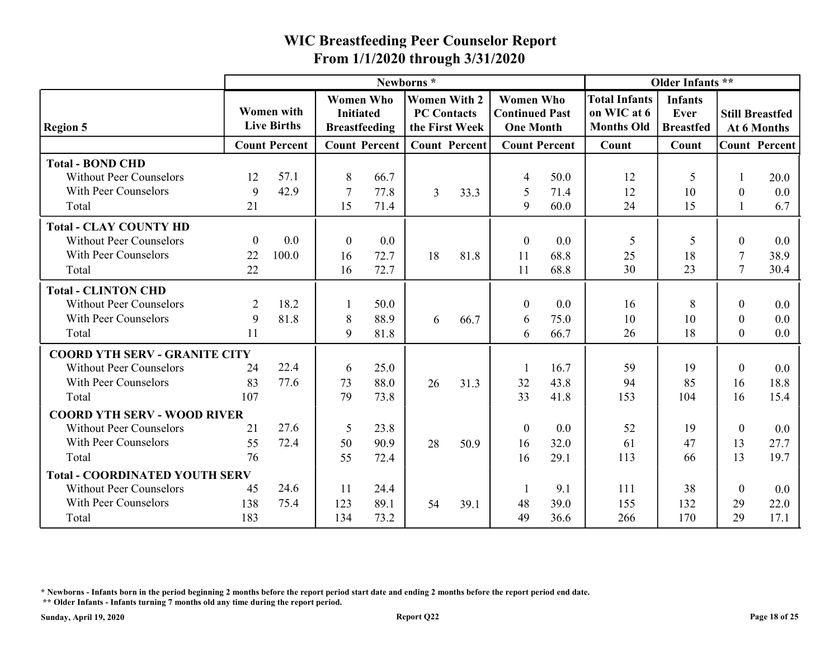|                                                                                                  |                              |                                         | From 1/1/2020 through 3/31/2020      |                      |                                                             |      | <b>WIC Breastfeeding Peer Counselor Report</b>                |                      |                                                          |                                            |                                        |                                       |
|--------------------------------------------------------------------------------------------------|------------------------------|-----------------------------------------|--------------------------------------|----------------------|-------------------------------------------------------------|------|---------------------------------------------------------------|----------------------|----------------------------------------------------------|--------------------------------------------|----------------------------------------|---------------------------------------|
|                                                                                                  |                              |                                         |                                      |                      | Newborns*                                                   |      |                                                               |                      |                                                          | Older Infants **                           |                                        |                                       |
| <b>Region 5</b>                                                                                  |                              | <b>Women</b> with<br><b>Live Births</b> | <b>Women Who</b><br><b>Initiated</b> | <b>Breastfeeding</b> | <b>Women With 2</b><br><b>PC Contacts</b><br>the First Week |      | <b>Women Who</b><br><b>Continued Past</b><br><b>One Month</b> |                      | <b>Total Infants</b><br>on WIC at 6<br><b>Months Old</b> | <b>Infants</b><br>Ever<br><b>Breastfed</b> |                                        | <b>Still Breastfed</b><br>At 6 Months |
|                                                                                                  |                              | <b>Count Percent</b>                    |                                      | <b>Count Percent</b> | <b>Count Percent</b>                                        |      |                                                               | <b>Count Percent</b> | Count                                                    | Count                                      |                                        | <b>Count Percent</b>                  |
| <b>Total - BOND CHD</b><br><b>Without Peer Counselors</b><br>With Peer Counselors                | 12<br>9                      | 57.1<br>42.9                            | 8<br>7                               | 66.7<br>77.8         | 3                                                           | 33.3 | $\overline{4}$<br>-5                                          | 50.0<br>71.4         | 12<br>12<br>24                                           | 10                                         | $\boldsymbol{0}$                       | 20.0<br>$0.0\,$                       |
| Total                                                                                            | 21                           |                                         | 15                                   | 71.4                 |                                                             |      | 9                                                             | 60.0                 |                                                          | 15                                         |                                        | 6.7                                   |
| <b>Total - CLAY COUNTY HD</b><br><b>Without Peer Counselors</b><br>With Peer Counselors<br>Total | $\boldsymbol{0}$<br>22<br>22 | 0.0<br>100.0                            | $\theta$<br>16<br>16                 | 0.0<br>72.7<br>72.7  | 18                                                          | 81.8 | $\boldsymbol{0}$<br>11<br>11                                  | 0.0<br>68.8<br>68.8  | 5<br>25<br>30                                            | 18<br>23                                   | $\theta$<br>7<br>$\tau$                | 0.0<br>38.9<br>30.4                   |
| <b>Total - CLINTON CHD</b>                                                                       |                              |                                         |                                      |                      |                                                             |      |                                                               |                      |                                                          |                                            |                                        |                                       |
| <b>Without Peer Counselors</b><br>With Peer Counselors<br>Total                                  | 2<br>9<br>11                 | 18.2<br>81.8                            | 8<br>9                               | 50.0<br>88.9<br>81.8 | 6                                                           | 66.7 | $\theta$<br>6<br>6                                            | 0.0<br>75.0<br>66.7  | 16<br>10<br>26                                           | 8<br>10<br>18                              | $\theta$<br>$\overline{0}$<br>$\theta$ | $0.0\,$<br>$0.0\,$<br>$0.0\,$         |
| <b>COORD YTH SERV - GRANITE CITY</b>                                                             |                              |                                         |                                      |                      |                                                             |      |                                                               |                      |                                                          |                                            |                                        |                                       |
| <b>Without Peer Counselors</b><br>With Peer Counselors<br>Total                                  | 24<br>83<br>107              | 22.4<br>77.6                            | 6<br>73<br>79                        | 25.0<br>88.0<br>73.8 | 26                                                          | 31.3 | 32<br>33                                                      | 16.7<br>43.8<br>41.8 | 59<br>94<br>153                                          | 19<br>85<br>104                            | $\overline{0}$<br>16<br>16             | 0.0<br>18.8<br>15.4                   |
| <b>COORD YTH SERV - WOOD RIVER</b>                                                               |                              |                                         |                                      |                      |                                                             |      |                                                               |                      |                                                          |                                            |                                        |                                       |
| <b>Without Peer Counselors</b><br>With Peer Counselors                                           | 21<br>55                     | 27.6<br>72.4                            | $\overline{5}$<br>50                 | 23.8<br>90.9         | 28                                                          | 50.9 | $\overline{0}$<br>16                                          | 0.0<br>32.0          | 52<br>61                                                 | 19<br>47                                   | $\overline{0}$<br>13                   | 0.0<br>27.7                           |
| Total                                                                                            | 76                           |                                         | 55                                   | 72.4                 |                                                             |      | 16                                                            | 29.1                 | 113                                                      | 66                                         | 13                                     | 19.7                                  |
| <b>Total - COORDINATED YOUTH SERV</b><br><b>Without Peer Counselors</b>                          | 45                           | 24.6                                    | -11                                  | 24.4                 |                                                             |      |                                                               | 9.1                  | 111                                                      | 38                                         | $\theta$                               |                                       |
| With Peer Counselors<br>Total                                                                    | 138<br>183                   | 75.4                                    | 123<br>134                           | 89.1<br>73.2         | 54                                                          | 39.1 | 48<br>49                                                      | 39.0<br>36.6         | 155<br>266                                               | 132<br>170                                 | 29<br>29                               | $0.0\,$<br>22.0<br>17.1               |

\* Newborns - Infants born in the period beginning 2 months before the report period start date and ending 2 months before the report period end date.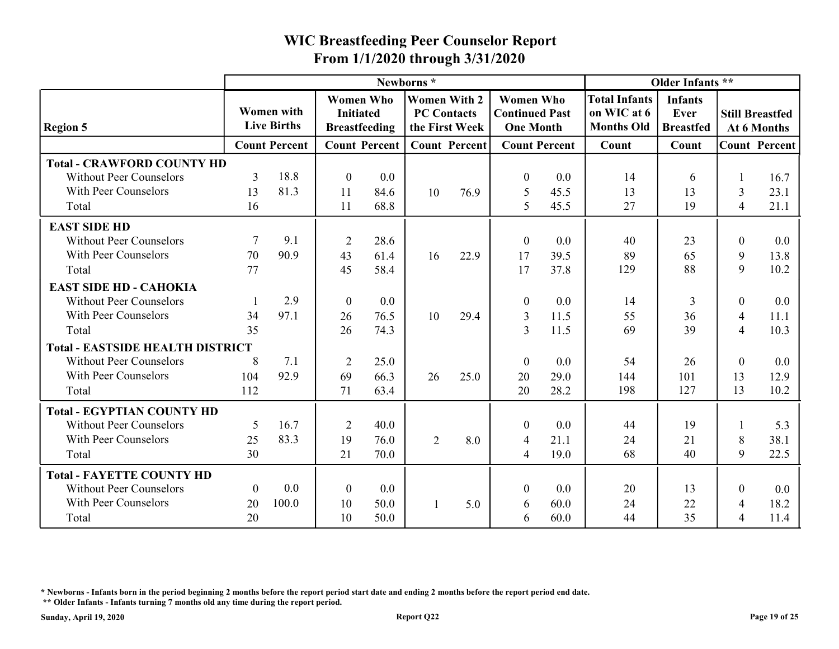|                                                                                             |                |                                         |                                                              |              | From 1/1/2020 through 3/31/2020                             |      | <b>WIC Breastfeeding Peer Counselor Report</b>                |                      |                                                          |                                            |                     |                                       |
|---------------------------------------------------------------------------------------------|----------------|-----------------------------------------|--------------------------------------------------------------|--------------|-------------------------------------------------------------|------|---------------------------------------------------------------|----------------------|----------------------------------------------------------|--------------------------------------------|---------------------|---------------------------------------|
|                                                                                             |                |                                         |                                                              |              | Newborns*                                                   |      |                                                               |                      |                                                          | Older Infants **                           |                     |                                       |
| <b>Region 5</b>                                                                             |                | <b>Women with</b><br><b>Live Births</b> | <b>Women Who</b><br><b>Initiated</b><br><b>Breastfeeding</b> |              | <b>Women With 2</b><br><b>PC Contacts</b><br>the First Week |      | <b>Women Who</b><br><b>Continued Past</b><br><b>One Month</b> |                      | <b>Total Infants</b><br>on WIC at 6<br><b>Months Old</b> | <b>Infants</b><br>Ever<br><b>Breastfed</b> |                     | <b>Still Breastfed</b><br>At 6 Months |
|                                                                                             |                | <b>Count Percent</b>                    | <b>Count Percent</b>                                         |              | <b>Count Percent</b>                                        |      |                                                               | <b>Count Percent</b> | Count                                                    | Count                                      |                     | <b>Count Percent</b>                  |
| <b>Total - CRAWFORD COUNTY HD</b><br><b>Without Peer Counselors</b><br>With Peer Counselors | 3<br>13        | 18.8<br>81.3                            | $\theta$<br>11                                               | 0.0<br>84.6  | 10                                                          | 76.9 | $\theta$<br>5                                                 | 0.0<br>45.5          | 14<br>13                                                 | 6<br>13                                    | 3                   | 16.7<br>23.1                          |
| Total                                                                                       | 16             |                                         | 11                                                           | 68.8         |                                                             |      | 5                                                             | 45.5                 | 27                                                       | 19                                         | $\overline{4}$      | 21.1                                  |
| <b>EAST SIDE HD</b>                                                                         |                |                                         |                                                              |              |                                                             |      |                                                               |                      |                                                          |                                            |                     |                                       |
| <b>Without Peer Counselors</b>                                                              |                | 9.1                                     | 2                                                            | 28.6         |                                                             |      | $\boldsymbol{0}$                                              | 0.0                  | 40                                                       | 23                                         | $\theta$            | $0.0\,$                               |
| With Peer Counselors<br>Total                                                               | 70<br>77       | 90.9                                    | 43<br>45                                                     | 61.4<br>58.4 | 16                                                          | 22.9 | 17<br>17                                                      | 39.5<br>37.8         | 89<br>129                                                | 65<br>88                                   | 9<br>9              | 13.8<br>10.2                          |
| <b>EAST SIDE HD - CAHOKIA</b>                                                               |                |                                         |                                                              |              |                                                             |      |                                                               |                      |                                                          |                                            |                     |                                       |
| <b>Without Peer Counselors</b>                                                              |                | 2.9                                     | $\boldsymbol{0}$                                             | 0.0          |                                                             |      | $\theta$                                                      | 0.0                  | 14                                                       | 3                                          | $\overline{0}$      | $0.0\,$                               |
| With Peer Counselors<br>Total                                                               | 34<br>35       | 97.1                                    | 26<br>26                                                     | 76.5<br>74.3 | 10                                                          | 29.4 | 3<br>3                                                        | 11.5<br>11.5         | 55<br>69                                                 | 36<br>39                                   | 4<br>$\overline{4}$ | 11.1<br>10.3                          |
| <b>Total - EASTSIDE HEALTH DISTRICT</b>                                                     |                |                                         |                                                              |              |                                                             |      |                                                               |                      |                                                          |                                            |                     |                                       |
| <b>Without Peer Counselors</b>                                                              | 8              | 7.1                                     | 2                                                            | 25.0         |                                                             |      | $\boldsymbol{0}$                                              | 0.0                  | 54                                                       | 26                                         | $\mathbf{0}$        | 0.0                                   |
| With Peer Counselors                                                                        | 104            | 92.9                                    | 69                                                           | 66.3         | 26                                                          | 25.0 | 20                                                            | 29.0                 | 144                                                      | 101                                        | 13                  | 12.9                                  |
| Total                                                                                       | 112            |                                         | 71                                                           | 63.4         |                                                             |      | 20                                                            | 28.2                 | 198                                                      | 127                                        | 13                  | 10.2                                  |
| <b>Total - EGYPTIAN COUNTY HD</b>                                                           |                |                                         |                                                              |              |                                                             |      |                                                               |                      |                                                          |                                            |                     |                                       |
| <b>Without Peer Counselors</b>                                                              | 5              | 16.7                                    | 2                                                            | 40.0         |                                                             |      | $\boldsymbol{0}$                                              | 0.0                  | 44                                                       | 19                                         |                     | 5.3                                   |
| With Peer Counselors                                                                        | 25             | 83.3                                    | 19                                                           | 76.0         | 2                                                           | 8.0  | $\overline{4}$                                                | 21.1                 | 24                                                       | 21                                         | 8                   | 38.1                                  |
| Total                                                                                       | 30             |                                         | 21                                                           | 70.0         |                                                             |      | $\overline{4}$                                                | 19.0                 | 68                                                       | 40                                         | 9                   | 22.5                                  |
| <b>Total - FAYETTE COUNTY HD</b>                                                            |                |                                         |                                                              |              |                                                             |      |                                                               |                      |                                                          |                                            |                     |                                       |
| <b>Without Peer Counselors</b>                                                              | $\overline{0}$ | 0.0                                     | $\theta$                                                     | 0.0          |                                                             |      | $\boldsymbol{0}$                                              | 0.0                  | 20                                                       | 13                                         | $\theta$            | 0.0                                   |
| With Peer Counselors                                                                        | 20             | 100.0                                   | 10                                                           | 50.0         |                                                             | 5.0  | 6                                                             | 60.0                 | 24                                                       | 22                                         | 4                   | 18.2                                  |
|                                                                                             | 20             |                                         | 10                                                           | 50.0         |                                                             |      | 6                                                             | 60.0                 | 44                                                       | 35                                         | 4                   | 11.4                                  |

\* Newborns - Infants born in the period beginning 2 months before the report period start date and ending 2 months before the report period end date.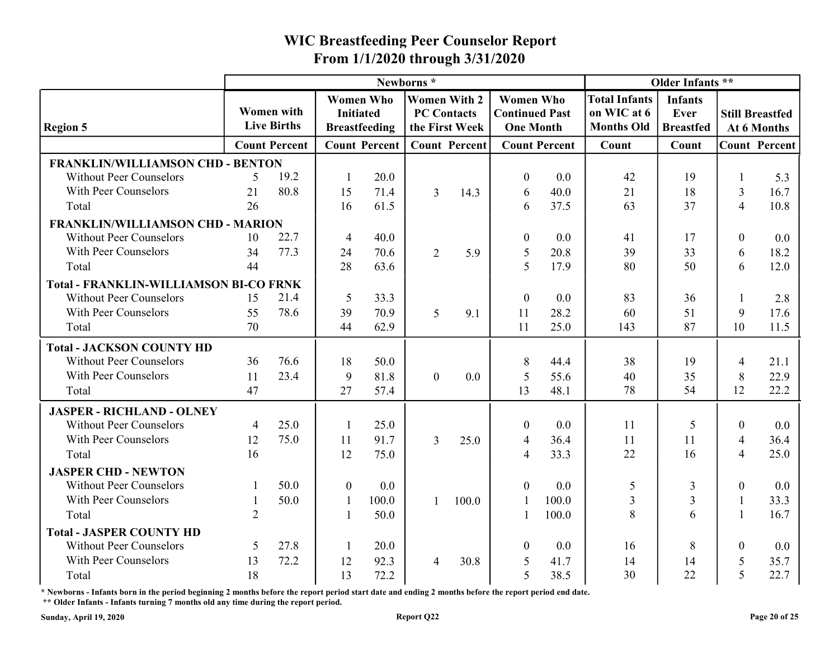|                                                                    |                |                                         |                  |                      | Newborns*                            |       |                                           |                      |                                  | Older Infants **                |                        |              |
|--------------------------------------------------------------------|----------------|-----------------------------------------|------------------|----------------------|--------------------------------------|-------|-------------------------------------------|----------------------|----------------------------------|---------------------------------|------------------------|--------------|
|                                                                    |                |                                         | <b>Women Who</b> |                      | <b>Women With 2</b>                  |       | <b>Women Who</b>                          |                      | <b>Total Infants</b>             | <b>Infants</b>                  |                        |              |
| <b>Region 5</b>                                                    |                | <b>Women with</b><br><b>Live Births</b> | <b>Initiated</b> | <b>Breastfeeding</b> | <b>PC Contacts</b><br>the First Week |       | <b>Continued Past</b><br><b>One Month</b> |                      | on WIC at 6<br><b>Months Old</b> | <b>Ever</b><br><b>Breastfed</b> | <b>Still Breastfed</b> | At 6 Months  |
|                                                                    |                | <b>Count Percent</b>                    |                  | <b>Count Percent</b> | <b>Count Percent</b>                 |       |                                           | <b>Count Percent</b> | Count                            | Count                           | <b>Count Percent</b>   |              |
| <b>FRANKLIN/WILLIAMSON CHD - BENTON</b>                            |                |                                         |                  |                      |                                      |       |                                           |                      |                                  |                                 |                        |              |
| <b>Without Peer Counselors</b>                                     | .5             | 19.2                                    |                  | 20.0                 |                                      |       | $\theta$                                  | 0.0                  | 42                               | 19                              |                        | 5.3          |
| With Peer Counselors                                               | 21             | 80.8                                    | 15               | 71.4                 | 3                                    | 14.3  | 6                                         | 40.0                 | 21                               | 18                              | $\mathfrak{Z}$         | 16.7         |
| Total                                                              | 26             |                                         | 16               | 61.5                 |                                      |       | 6                                         | 37.5                 | 63                               | 37                              | $\overline{4}$         | 10.8         |
| FRANKLIN/WILLIAMSON CHD - MARION                                   |                |                                         |                  |                      |                                      |       |                                           |                      |                                  |                                 |                        |              |
| <b>Without Peer Counselors</b>                                     | 10             | 22.7                                    | $\overline{4}$   | 40.0                 |                                      |       | $\theta$                                  | 0.0                  | 41                               | 17                              | $\mathbf{0}$           | $0.0\,$      |
| With Peer Counselors                                               | 34             | 77.3                                    | 24               | 70.6                 | $\overline{2}$                       | 5.9   | 5                                         | 20.8                 | 39                               | 33                              | 6                      | 18.2         |
| Total                                                              | 44             |                                         | 28               | 63.6                 |                                      |       | 5                                         | 17.9                 | 80                               | 50                              | 6                      | 12.0         |
| <b>Total - FRANKLIN-WILLIAMSON BI-CO FRNK</b>                      |                |                                         |                  |                      |                                      |       |                                           |                      |                                  |                                 |                        |              |
| <b>Without Peer Counselors</b>                                     | 15             | 21.4                                    | -5               | 33.3                 |                                      |       | $\Omega$                                  | 0.0                  | 83                               | 36                              |                        | 2.8          |
| With Peer Counselors                                               | 55             | 78.6                                    | 39               | 70.9                 | 5                                    | 9.1   | 11                                        | 28.2                 | 60                               | 51                              | 9                      | 17.6         |
| Total                                                              | 70             |                                         | 44               | 62.9                 |                                      |       | 11                                        | 25.0                 | 143                              | 87                              | 10                     | 11.5         |
|                                                                    |                |                                         |                  |                      |                                      |       |                                           |                      |                                  |                                 |                        |              |
| <b>Total - JACKSON COUNTY HD</b><br><b>Without Peer Counselors</b> | 36             | 76.6                                    | 18               | 50.0                 |                                      |       | 8                                         | 44.4                 | 38                               | 19                              |                        |              |
| With Peer Counselors                                               | 11             | 23.4                                    | 9                | 81.8                 |                                      | 0.0   |                                           | 55.6                 | 40                               | 35                              | 4                      | 21.1<br>22.9 |
| Total                                                              | 47             |                                         | 27               | 57.4                 | $\overline{0}$                       |       | 5<br>13                                   | 48.1                 | 78                               | 54                              | 8<br>12                | 22.2         |
|                                                                    |                |                                         |                  |                      |                                      |       |                                           |                      |                                  |                                 |                        |              |
| <b>JASPER - RICHLAND - OLNEY</b>                                   |                |                                         |                  |                      |                                      |       |                                           |                      |                                  |                                 |                        |              |
| <b>Without Peer Counselors</b>                                     | $\overline{4}$ | 25.0                                    |                  | 25.0                 |                                      |       | $\boldsymbol{0}$                          | 0.0                  | 11                               |                                 | $\Omega$               | 0.0          |
| With Peer Counselors                                               | 12             | 75.0                                    | 11               | 91.7                 | 3                                    | 25.0  | $\overline{4}$                            | 36.4                 | 11                               | 11                              | $\overline{4}$         | 36.4         |
| Total                                                              | 16             |                                         | 12               | 75.0                 |                                      |       | $\overline{4}$                            | 33.3                 | 22                               | 16                              | $\overline{4}$         | 25.0         |
| <b>JASPER CHD - NEWTON</b>                                         |                |                                         |                  |                      |                                      |       |                                           |                      |                                  |                                 |                        |              |
| <b>Without Peer Counselors</b>                                     |                | 50.0                                    | $\overline{0}$   | 0.0                  |                                      |       | $\overline{0}$                            | 0.0                  | 5                                | 3                               | $\mathbf{0}$           | 0.0          |
| With Peer Counselors                                               |                | 50.0                                    |                  | 100.0                |                                      | 100.0 |                                           | 100.0                | $\overline{3}$                   | 3                               |                        | 33.3         |
| Total                                                              | $\overline{2}$ |                                         |                  | 50.0                 |                                      |       |                                           | 100.0                | 8                                | 6                               | $\mathbf{1}$           | 16.7         |
| <b>Total - JASPER COUNTY HD</b>                                    |                |                                         |                  |                      |                                      |       |                                           |                      |                                  |                                 |                        |              |
| <b>Without Peer Counselors</b>                                     | 5              | 27.8                                    |                  | 20.0                 |                                      |       | $\Omega$                                  | 0.0                  | 16                               | 8                               | $\theta$               | $0.0\,$      |
| With Peer Counselors                                               | 13             | 72.2                                    | 12               | 92.3                 | $\overline{4}$                       | 30.8  | $\mathfrak{S}$                            | 41.7                 | 14                               | 14                              | 5                      | 35.7         |
| Total                                                              | 18             |                                         | 13               | 72.2                 |                                      |       | $5\overline{)}$                           | 38.5                 | 30                               | 22                              | 5                      | 22.7         |

\* Newborns - Infants born in the period beginning 2 months before the report period start date and ending 2 months before the report period end date.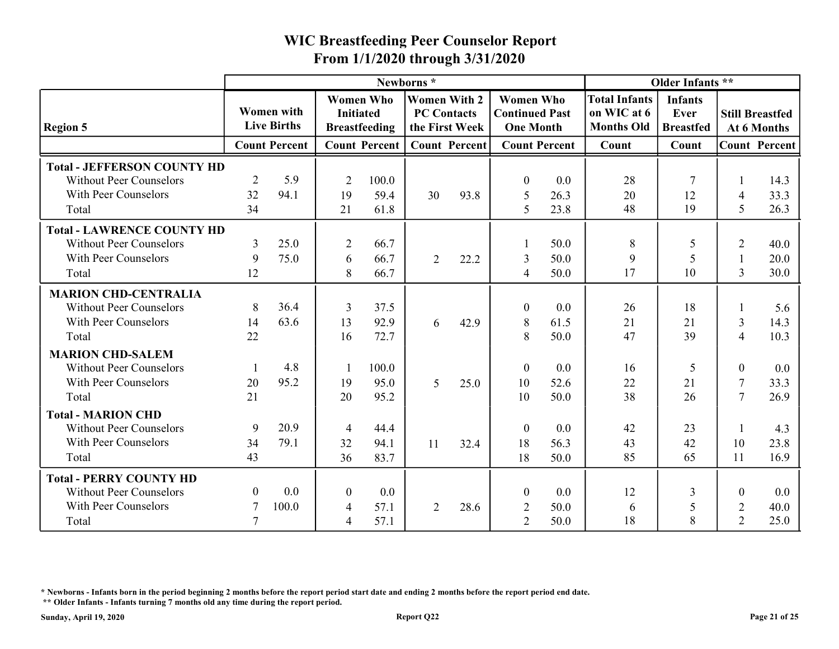|                                                                                                      |                  |                                         | From 1/1/2020 through 3/31/2020                      |                                          |                                                             |      | <b>WIC Breastfeeding Peer Counselor Report</b>                |                      |                                                          |                                            |                                         |                                       |
|------------------------------------------------------------------------------------------------------|------------------|-----------------------------------------|------------------------------------------------------|------------------------------------------|-------------------------------------------------------------|------|---------------------------------------------------------------|----------------------|----------------------------------------------------------|--------------------------------------------|-----------------------------------------|---------------------------------------|
|                                                                                                      |                  |                                         |                                                      |                                          | Newborns*                                                   |      |                                                               |                      |                                                          | Older Infants **                           |                                         |                                       |
| <b>Region 5</b>                                                                                      |                  | <b>Women</b> with<br><b>Live Births</b> | <b>Initiated</b>                                     | <b>Women Who</b><br><b>Breastfeeding</b> | <b>Women With 2</b><br><b>PC Contacts</b><br>the First Week |      | <b>Women Who</b><br><b>Continued Past</b><br><b>One Month</b> |                      | <b>Total Infants</b><br>on WIC at 6<br><b>Months Old</b> | <b>Infants</b><br>Ever<br><b>Breastfed</b> |                                         | <b>Still Breastfed</b><br>At 6 Months |
|                                                                                                      |                  | <b>Count Percent</b>                    |                                                      | <b>Count Percent</b>                     | <b>Count Percent</b>                                        |      |                                                               | <b>Count Percent</b> | Count                                                    | Count                                      |                                         | <b>Count Percent</b>                  |
| <b>Total - JEFFERSON COUNTY HD</b><br><b>Without Peer Counselors</b><br>With Peer Counselors         | 2<br>32          | 5.9<br>94.1                             | $\overline{2}$<br>19                                 | 100.0<br>59.4                            | 30                                                          | 93.8 | $\theta$<br>5                                                 | 0.0<br>26.3          | 28<br>20<br>48                                           | 12<br>19                                   | $\overline{4}$<br>5                     | 14.3<br>33.3<br>26.3                  |
| Total                                                                                                | 34               |                                         | 21                                                   | 61.8                                     |                                                             |      | 5                                                             | 23.8                 |                                                          |                                            |                                         |                                       |
| <b>Total - LAWRENCE COUNTY HD</b><br><b>Without Peer Counselors</b><br>With Peer Counselors<br>Total | 3<br>9<br>12     | 25.0<br>75.0                            | $\overline{2}$<br>-6<br>8                            | 66.7<br>66.7<br>66.7                     | $\overline{2}$                                              | 22.2 | 3<br>$\overline{4}$                                           | 50.0<br>50.0<br>50.0 | 8<br>9<br>17                                             | 5<br>10                                    | $\overline{2}$<br>$\overline{3}$        | 40.0<br>20.0<br>30.0                  |
| <b>MARION CHD-CENTRALIA</b>                                                                          |                  |                                         |                                                      |                                          |                                                             |      |                                                               |                      |                                                          |                                            |                                         |                                       |
| <b>Without Peer Counselors</b><br>With Peer Counselors<br>Total                                      | 8<br>14<br>22    | 36.4<br>63.6                            | $\overline{3}$<br>13<br>16                           | 37.5<br>92.9<br>72.7                     | 6                                                           | 42.9 | $\theta$<br>8<br>8                                            | 0.0<br>61.5<br>50.0  | 26<br>21<br>47                                           | 18<br>21<br>39                             | 3<br>$\overline{4}$                     | 5.6<br>14.3<br>10.3                   |
| <b>MARION CHD-SALEM</b><br><b>Without Peer Counselors</b><br>With Peer Counselors                    | 20               | 4.8<br>95.2                             | 19                                                   | 100.0<br>95.0                            | 5 <sup>5</sup>                                              | 25.0 | $\boldsymbol{0}$<br>10                                        | 0.0<br>52.6          | 16<br>22                                                 | .5<br>21                                   | $\boldsymbol{0}$<br>7                   | 0.0<br>33.3                           |
| Total                                                                                                | 21               |                                         | 20                                                   | 95.2                                     |                                                             |      | 10                                                            | 50.0                 | 38                                                       | 26                                         | $\overline{7}$                          | 26.9                                  |
| <b>Total - MARION CHD</b><br><b>Without Peer Counselors</b><br>With Peer Counselors<br>Total         | 9<br>34<br>43    | 20.9<br>79.1                            | $\overline{4}$<br>32<br>36                           | 44.4<br>94.1<br>83.7                     | 11                                                          | 32.4 | $\boldsymbol{0}$<br>18<br>18                                  | 0.0<br>56.3<br>50.0  | 42<br>43<br>85                                           | 23<br>42<br>65                             | 10<br>11                                | 4.3<br>23.8<br>16.9                   |
| <b>Total - PERRY COUNTY HD</b>                                                                       |                  |                                         |                                                      |                                          |                                                             |      |                                                               |                      |                                                          |                                            |                                         |                                       |
| <b>Without Peer Counselors</b><br>With Peer Counselors<br>Total                                      | $\boldsymbol{0}$ | 0.0<br>100.0                            | $\boldsymbol{0}$<br>$\overline{4}$<br>$\overline{4}$ | $0.0\,$<br>57.1<br>57.1                  | $\overline{2}$                                              | 28.6 | $\boldsymbol{0}$<br>2<br>2                                    | 0.0<br>50.0<br>50.0  | 12<br>6<br>18                                            | 3<br>8                                     | $\boldsymbol{0}$<br>$\overline{2}$<br>2 | 0.0<br>40.0<br>25.0                   |

\* Newborns - Infants born in the period beginning 2 months before the report period start date and ending 2 months before the report period end date.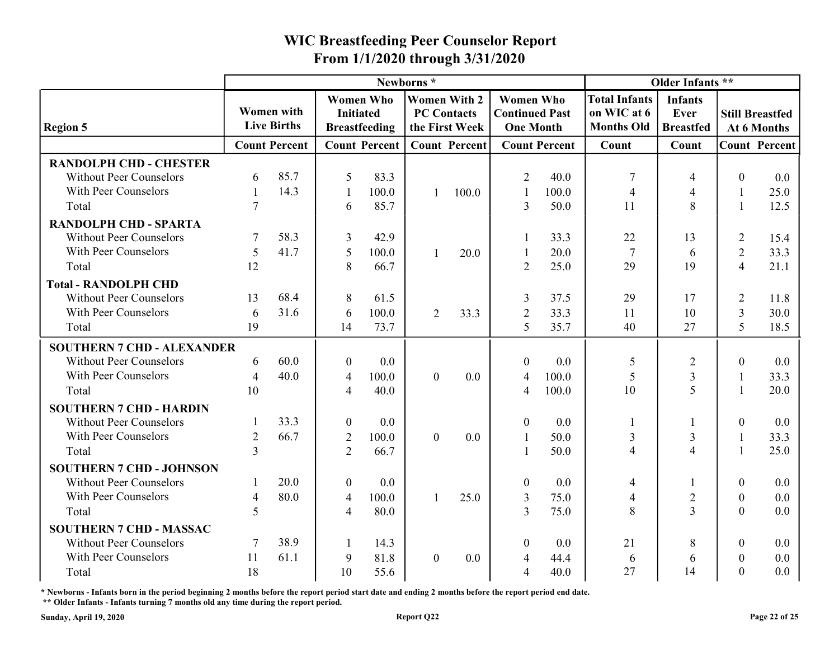|                                                                 |                |                                  |                          |                                          |                                           |                      | From 1/1/2020 through 3/31/2020                               |                      |                                                          |                                            |                                  |                                       |
|-----------------------------------------------------------------|----------------|----------------------------------|--------------------------|------------------------------------------|-------------------------------------------|----------------------|---------------------------------------------------------------|----------------------|----------------------------------------------------------|--------------------------------------------|----------------------------------|---------------------------------------|
|                                                                 |                |                                  |                          |                                          | Newborns*                                 |                      |                                                               |                      |                                                          | Older Infants **                           |                                  |                                       |
| <b>Region 5</b>                                                 |                | Women with<br><b>Live Births</b> | <b>Initiated</b>         | <b>Women Who</b><br><b>Breastfeeding</b> | <b>Women With 2</b><br><b>PC Contacts</b> | the First Week       | <b>Women Who</b><br><b>Continued Past</b><br><b>One Month</b> |                      | <b>Total Infants</b><br>on WIC at 6<br><b>Months Old</b> | <b>Infants</b><br>Ever<br><b>Breastfed</b> |                                  | <b>Still Breastfed</b><br>At 6 Months |
|                                                                 |                | <b>Count Percent</b>             |                          | <b>Count Percent</b>                     |                                           | <b>Count Percent</b> |                                                               | <b>Count Percent</b> | Count                                                    | Count                                      |                                  | <b>Count Percent</b>                  |
| <b>RANDOLPH CHD - CHESTER</b><br><b>Without Peer Counselors</b> | 6              | 85.7                             | $\overline{\mathcal{L}}$ | 83.3                                     |                                           |                      | 2                                                             | 40.0                 |                                                          |                                            | $\Omega$                         | 0.0                                   |
| With Peer Counselors                                            |                | 14.3                             |                          | 100.0                                    |                                           | 100.0                |                                                               | 100.0                | $\overline{4}$                                           | 4                                          | -1                               | 25.0                                  |
| Total                                                           |                |                                  | 6                        | 85.7                                     |                                           |                      | 3                                                             | 50.0                 | 11                                                       | 8                                          |                                  | 12.5                                  |
| <b>RANDOLPH CHD - SPARTA</b>                                    |                |                                  |                          |                                          |                                           |                      |                                                               |                      |                                                          |                                            |                                  |                                       |
| <b>Without Peer Counselors</b><br>With Peer Counselors          | 7<br>5         | 58.3<br>41.7                     | 3<br>5                   | 42.9<br>100.0                            |                                           | 20.0                 |                                                               | 33.3<br>20.0         | 22                                                       | 13                                         | $\overline{2}$                   | 15.4                                  |
| Total                                                           | 12             |                                  | 8                        | 66.7                                     |                                           |                      | 2                                                             | 25.0                 | 29                                                       | $\mathfrak b$<br>19                        | $\overline{2}$<br>$\overline{4}$ | 33.3<br>21.1                          |
| <b>Total - RANDOLPH CHD</b>                                     |                |                                  |                          |                                          |                                           |                      |                                                               |                      |                                                          |                                            |                                  |                                       |
| <b>Without Peer Counselors</b>                                  | 13             | 68.4                             | 8                        | 61.5                                     |                                           |                      |                                                               | 37.5                 | 29                                                       | 17                                         | $\overline{2}$                   | 11.8                                  |
| With Peer Counselors                                            | 6              | 31.6                             | -6                       | 100.0                                    | 2                                         | 33.3                 | $\overline{2}$                                                | 33.3                 | 11                                                       | 10                                         | 3                                | 30.0                                  |
| Total                                                           | 19             |                                  | 14                       | 73.7                                     |                                           |                      | 5                                                             | 35.7                 | 40                                                       | 27                                         | 5                                | 18.5                                  |
| <b>SOUTHERN 7 CHD - ALEXANDER</b>                               |                |                                  |                          |                                          |                                           |                      |                                                               |                      |                                                          |                                            |                                  |                                       |
| <b>Without Peer Counselors</b>                                  | 6              | 60.0                             | $\overline{0}$           | 0.0                                      |                                           |                      | $\boldsymbol{0}$                                              | 0.0                  | 5                                                        | $\overline{2}$                             | $\boldsymbol{0}$                 | 0.0                                   |
| With Peer Counselors                                            | 4              | 40.0                             | $\overline{4}$           | 100.0                                    | $\overline{0}$                            | $0.0\,$              | $\overline{4}$                                                | 100.0                | 5                                                        | 3                                          | 1                                | 33.3                                  |
| Total                                                           | 10             |                                  | $\overline{4}$           | 40.0                                     |                                           |                      | $\overline{4}$                                                | 100.0                | 10                                                       | 5                                          |                                  | 20.0                                  |
| <b>SOUTHERN 7 CHD - HARDIN</b>                                  |                |                                  |                          |                                          |                                           |                      |                                                               |                      |                                                          |                                            |                                  |                                       |
| <b>Without Peer Counselors</b>                                  |                | 33.3                             | $\boldsymbol{0}$         | $0.0\,$                                  |                                           |                      | $\boldsymbol{0}$                                              | $0.0\,$              |                                                          |                                            | $\boldsymbol{0}$                 | 0.0                                   |
| With Peer Counselors                                            | 2              | 66.7                             | $\overline{2}$           | 100.0                                    | $\overline{0}$                            | 0.0                  |                                                               | 50.0                 | $\mathfrak{Z}$                                           | 3                                          |                                  | 33.3                                  |
| Total                                                           | $\mathcal{R}$  |                                  | $\overline{2}$           | 66.7                                     |                                           |                      |                                                               | 50.0                 | $\overline{4}$                                           | $\overline{4}$                             |                                  | 25.0                                  |
| <b>SOUTHERN 7 CHD - JOHNSON</b>                                 |                |                                  |                          |                                          |                                           |                      |                                                               |                      |                                                          |                                            |                                  |                                       |
| <b>Without Peer Counselors</b>                                  |                | 20.0                             | $\overline{0}$           | $0.0\,$                                  |                                           |                      | $\boldsymbol{0}$                                              | 0.0                  | $\overline{4}$                                           |                                            | $\boldsymbol{0}$                 | 0.0                                   |
| With Peer Counselors                                            | $\overline{4}$ | 80.0                             | $\overline{4}$           | 100.0                                    |                                           | 25.0                 | 3                                                             | 75.0                 | $\overline{4}$                                           | $\overline{2}$                             | $\boldsymbol{0}$                 | $0.0\,$                               |
| Total                                                           | 5              |                                  | $\overline{4}$           | 80.0                                     |                                           |                      | 3                                                             | 75.0                 | 8                                                        | $\overline{3}$                             | $\boldsymbol{0}$                 | 0.0                                   |
| <b>SOUTHERN 7 CHD - MASSAC</b>                                  |                |                                  |                          |                                          |                                           |                      |                                                               |                      |                                                          |                                            |                                  |                                       |
| <b>Without Peer Counselors</b>                                  | 7              | 38.9                             |                          | 14.3                                     |                                           |                      | $\overline{0}$                                                | 0.0                  | 21                                                       | 8                                          | $\boldsymbol{0}$                 | 0.0                                   |
| With Peer Counselors                                            | 11             | 61.1                             | 9                        | 81.8                                     | $\overline{0}$                            | 0.0                  | $\overline{4}$                                                | 44.4                 | 6                                                        | 6                                          | $\mathbf{0}$                     | 0.0                                   |
| Total                                                           | 18             |                                  | 10                       | 55.6                                     |                                           |                      | $\boldsymbol{\varDelta}$                                      | 40.0                 | 27                                                       | 14                                         | $\Omega$                         | 0.0                                   |

\* Newborns - Infants born in the period beginning 2 months before the report period start date and ending 2 months before the report period end date.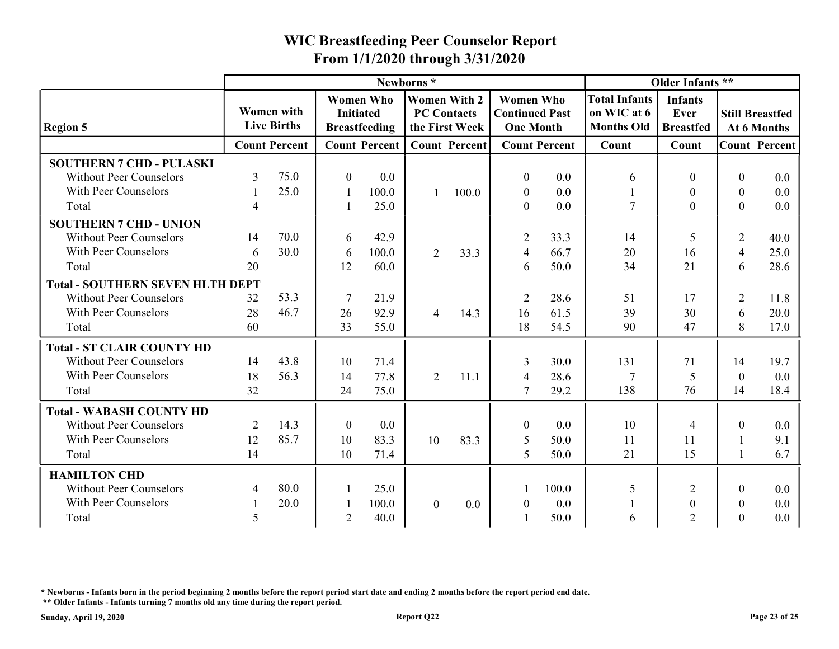| Older Infants **<br>Newborns*<br><b>Women Who</b><br><b>Women With 2</b><br><b>Women Who</b><br><b>Total Infants</b><br><b>Infants</b><br><b>Women with</b><br><b>Continued Past</b><br>on WIC at 6<br><b>Initiated</b><br><b>PC Contacts</b><br>Ever<br><b>Still Breastfed</b><br><b>Live Births</b><br><b>Months Old</b><br><b>Region 5</b><br><b>Breastfeeding</b><br>the First Week<br><b>One Month</b><br><b>Breastfed</b><br>At 6 Months<br><b>Count Percent</b><br><b>Count Percent</b><br><b>Count Percent</b><br><b>Count Percent</b><br><b>Count Percent</b><br>Count<br>Count<br><b>SOUTHERN 7 CHD - PULASKI</b><br>75.0<br><b>Without Peer Counselors</b><br>0.0<br>0.0<br>3<br>$\Omega$<br>$\boldsymbol{0}$<br>$0.0\,$<br>$\theta$<br>6<br>With Peer Counselors<br>25.0<br>100.0<br>100.0<br>$\boldsymbol{0}$<br>$0.0\,$<br>0.0<br>$\mathbf{0}$<br>$\theta$<br>$\tau$<br>$\overline{0}$<br>0.0<br>25.0<br>$\Omega$<br>Total<br>$\boldsymbol{0}$<br>0.0<br><b>SOUTHERN 7 CHD - UNION</b><br>70.0<br><b>Without Peer Counselors</b><br>14<br>42.9<br>33.3<br>$\overline{2}$<br>40.0<br>$\overline{2}$<br>14<br>6<br>With Peer Counselors<br>30.0<br>66.7<br>100.0<br>33.3<br>20<br>16<br>25.0<br>$\overline{2}$<br>6<br>6<br>$\overline{4}$<br>4<br>21<br>34<br>6<br>28.6<br>20<br>12<br>50.0<br>60.0<br>Total<br>6<br><b>Total - SOUTHERN SEVEN HLTH DEPT</b><br><b>Without Peer Counselors</b><br>53.3<br>21.9<br>28.6<br>32<br>$\overline{2}$<br>51<br>2<br>11.8<br>17<br>With Peer Counselors<br>46.7<br>28<br>92.9<br>61.5<br>39<br>30<br>20.0<br>26<br>14.3<br>16<br>4<br>6<br>33<br>54.5<br>8<br>60<br>55.0<br>18<br>90<br>47<br>17.0<br>Total<br><b>Total - ST CLAIR COUNTY HD</b> |
|-------------------------------------------------------------------------------------------------------------------------------------------------------------------------------------------------------------------------------------------------------------------------------------------------------------------------------------------------------------------------------------------------------------------------------------------------------------------------------------------------------------------------------------------------------------------------------------------------------------------------------------------------------------------------------------------------------------------------------------------------------------------------------------------------------------------------------------------------------------------------------------------------------------------------------------------------------------------------------------------------------------------------------------------------------------------------------------------------------------------------------------------------------------------------------------------------------------------------------------------------------------------------------------------------------------------------------------------------------------------------------------------------------------------------------------------------------------------------------------------------------------------------------------------------------------------------------------------------------------------------------------------------------------------------------------------------------|
|                                                                                                                                                                                                                                                                                                                                                                                                                                                                                                                                                                                                                                                                                                                                                                                                                                                                                                                                                                                                                                                                                                                                                                                                                                                                                                                                                                                                                                                                                                                                                                                                                                                                                                       |
|                                                                                                                                                                                                                                                                                                                                                                                                                                                                                                                                                                                                                                                                                                                                                                                                                                                                                                                                                                                                                                                                                                                                                                                                                                                                                                                                                                                                                                                                                                                                                                                                                                                                                                       |
|                                                                                                                                                                                                                                                                                                                                                                                                                                                                                                                                                                                                                                                                                                                                                                                                                                                                                                                                                                                                                                                                                                                                                                                                                                                                                                                                                                                                                                                                                                                                                                                                                                                                                                       |
|                                                                                                                                                                                                                                                                                                                                                                                                                                                                                                                                                                                                                                                                                                                                                                                                                                                                                                                                                                                                                                                                                                                                                                                                                                                                                                                                                                                                                                                                                                                                                                                                                                                                                                       |
|                                                                                                                                                                                                                                                                                                                                                                                                                                                                                                                                                                                                                                                                                                                                                                                                                                                                                                                                                                                                                                                                                                                                                                                                                                                                                                                                                                                                                                                                                                                                                                                                                                                                                                       |
|                                                                                                                                                                                                                                                                                                                                                                                                                                                                                                                                                                                                                                                                                                                                                                                                                                                                                                                                                                                                                                                                                                                                                                                                                                                                                                                                                                                                                                                                                                                                                                                                                                                                                                       |
|                                                                                                                                                                                                                                                                                                                                                                                                                                                                                                                                                                                                                                                                                                                                                                                                                                                                                                                                                                                                                                                                                                                                                                                                                                                                                                                                                                                                                                                                                                                                                                                                                                                                                                       |
|                                                                                                                                                                                                                                                                                                                                                                                                                                                                                                                                                                                                                                                                                                                                                                                                                                                                                                                                                                                                                                                                                                                                                                                                                                                                                                                                                                                                                                                                                                                                                                                                                                                                                                       |
|                                                                                                                                                                                                                                                                                                                                                                                                                                                                                                                                                                                                                                                                                                                                                                                                                                                                                                                                                                                                                                                                                                                                                                                                                                                                                                                                                                                                                                                                                                                                                                                                                                                                                                       |
|                                                                                                                                                                                                                                                                                                                                                                                                                                                                                                                                                                                                                                                                                                                                                                                                                                                                                                                                                                                                                                                                                                                                                                                                                                                                                                                                                                                                                                                                                                                                                                                                                                                                                                       |
|                                                                                                                                                                                                                                                                                                                                                                                                                                                                                                                                                                                                                                                                                                                                                                                                                                                                                                                                                                                                                                                                                                                                                                                                                                                                                                                                                                                                                                                                                                                                                                                                                                                                                                       |
|                                                                                                                                                                                                                                                                                                                                                                                                                                                                                                                                                                                                                                                                                                                                                                                                                                                                                                                                                                                                                                                                                                                                                                                                                                                                                                                                                                                                                                                                                                                                                                                                                                                                                                       |
|                                                                                                                                                                                                                                                                                                                                                                                                                                                                                                                                                                                                                                                                                                                                                                                                                                                                                                                                                                                                                                                                                                                                                                                                                                                                                                                                                                                                                                                                                                                                                                                                                                                                                                       |
| 43.8<br><b>Without Peer Counselors</b><br>71.4<br>30.0<br>71<br>14<br>10<br>131<br>19.7<br>3<br>14                                                                                                                                                                                                                                                                                                                                                                                                                                                                                                                                                                                                                                                                                                                                                                                                                                                                                                                                                                                                                                                                                                                                                                                                                                                                                                                                                                                                                                                                                                                                                                                                    |
| With Peer Counselors<br>56.3<br>18<br>77.8<br>$\overline{2}$<br>28.6<br>5<br>0.0<br>14<br>11.1<br>7<br>$\boldsymbol{0}$<br>$\overline{4}$                                                                                                                                                                                                                                                                                                                                                                                                                                                                                                                                                                                                                                                                                                                                                                                                                                                                                                                                                                                                                                                                                                                                                                                                                                                                                                                                                                                                                                                                                                                                                             |
| 32<br>24<br>75.0<br>$\overline{7}$<br>29.2<br>138<br>76<br>18.4<br>Total<br>14                                                                                                                                                                                                                                                                                                                                                                                                                                                                                                                                                                                                                                                                                                                                                                                                                                                                                                                                                                                                                                                                                                                                                                                                                                                                                                                                                                                                                                                                                                                                                                                                                        |
| <b>Total - WABASH COUNTY HD</b>                                                                                                                                                                                                                                                                                                                                                                                                                                                                                                                                                                                                                                                                                                                                                                                                                                                                                                                                                                                                                                                                                                                                                                                                                                                                                                                                                                                                                                                                                                                                                                                                                                                                       |
| 14.3<br><b>Without Peer Counselors</b><br>2<br>0.0<br>0.0<br>10<br>0.0<br>$\overline{0}$<br>$\boldsymbol{0}$<br>$\overline{0}$                                                                                                                                                                                                                                                                                                                                                                                                                                                                                                                                                                                                                                                                                                                                                                                                                                                                                                                                                                                                                                                                                                                                                                                                                                                                                                                                                                                                                                                                                                                                                                        |
| With Peer Counselors<br>85.7<br>12<br>10<br>83.3<br>50.0<br>9.1<br>10<br>83.3<br>11<br>11<br>5                                                                                                                                                                                                                                                                                                                                                                                                                                                                                                                                                                                                                                                                                                                                                                                                                                                                                                                                                                                                                                                                                                                                                                                                                                                                                                                                                                                                                                                                                                                                                                                                        |
| 15<br>14<br>71.4<br>$5\overline{)}$<br>50.0<br>21<br>10<br>6.7<br>Total                                                                                                                                                                                                                                                                                                                                                                                                                                                                                                                                                                                                                                                                                                                                                                                                                                                                                                                                                                                                                                                                                                                                                                                                                                                                                                                                                                                                                                                                                                                                                                                                                               |
| <b>HAMILTON CHD</b>                                                                                                                                                                                                                                                                                                                                                                                                                                                                                                                                                                                                                                                                                                                                                                                                                                                                                                                                                                                                                                                                                                                                                                                                                                                                                                                                                                                                                                                                                                                                                                                                                                                                                   |
| 80.0<br>100.0<br><b>Without Peer Counselors</b><br>25.0<br>$0.0\,$<br>5<br>2<br>$\overline{0}$<br>4                                                                                                                                                                                                                                                                                                                                                                                                                                                                                                                                                                                                                                                                                                                                                                                                                                                                                                                                                                                                                                                                                                                                                                                                                                                                                                                                                                                                                                                                                                                                                                                                   |
| With Peer Counselors<br>20.0<br>100.0<br>$\overline{0}$<br>0.0<br>0.0<br>$0.0\,$<br>$\boldsymbol{0}$<br>$\boldsymbol{0}$<br>$\mathbf{0}$<br>-1                                                                                                                                                                                                                                                                                                                                                                                                                                                                                                                                                                                                                                                                                                                                                                                                                                                                                                                                                                                                                                                                                                                                                                                                                                                                                                                                                                                                                                                                                                                                                        |
| $0.0\,$<br>$\mathfrak{S}$<br>6<br>$\overline{2}$<br>Total<br>2<br>40.0<br>50.0<br>$\theta$                                                                                                                                                                                                                                                                                                                                                                                                                                                                                                                                                                                                                                                                                                                                                                                                                                                                                                                                                                                                                                                                                                                                                                                                                                                                                                                                                                                                                                                                                                                                                                                                            |

\* Newborns - Infants born in the period beginning 2 months before the report period start date and ending 2 months before the report period end date.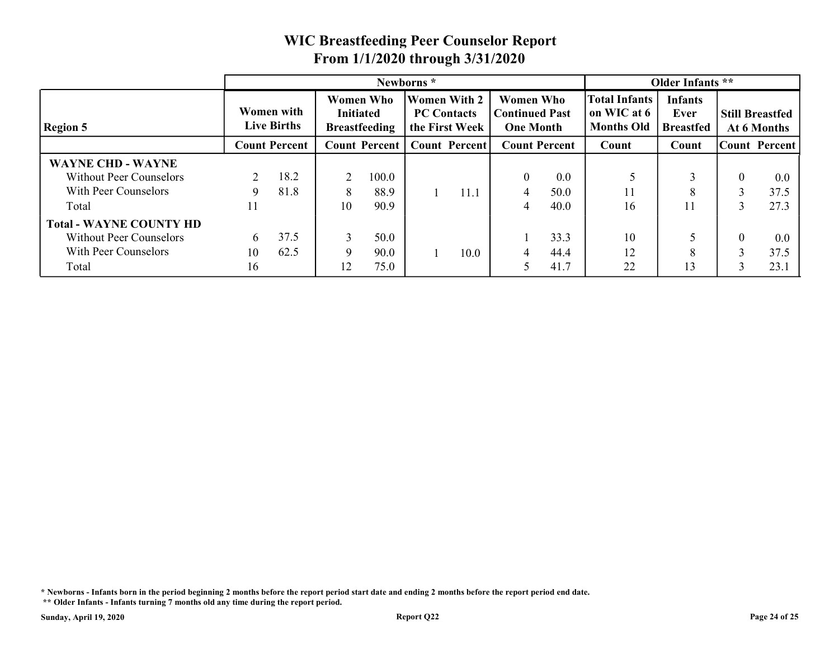#### Region 5 Live Births Women with Initiated **Breastfeeding** Women Who | Women With 2 | Women Who **PC** Contacts Breastfeeding | the First Week | One Month | Months Old | B Women Who PC Contacts | Continued Past | on WIC at 6 | One Month | Months Old | Breastfed | At 6 WIC Breastfeeding Peer Counselor Report<br>
From 1/1/2020 through 3/31/2020<br>
Newborns \*<br>
Women with Women With 2 Women Who<br>
Initiated PEC Contacts Continued Past<br>
Live Births Breastfeeding the First Week One Month Months Old Count Percent | Count Percent | Count Percent Total Infants on WIC at 6 | Ever Infants Ever Still Breastfed Breastfed At 6 Months Older Infants<br>
VIC at 6<br>
UNIC at 6<br>
Ever<br>
Count Count Count Percent<br>
Count Count Count Percent<br>
S<br>
Count Count Count Percent<br>
S<br>
1<br>
1<br>
1<br>
8<br>
1<br>
1<br>
1<br>
2<br>
2<br>
2<br>
2<br>
2<br>
2<br>
2<br>
2<br>
2<br>
2<br>
2<br>
3<br>
2<br>
3<br>
2<br>
3<br>
2<br>
2<br>
2<br>
2<br>
2<br>
2<br>
2<br>
2<br> Count Percent | Count | Count Newborns \* Contract to the Colder Infants \*\* WAYNE CHD - WAYNE 2 18.2 | 2 100.0 | 0 0.0 | 5 | 3 9 8 1.8 | 8 8 8 9 | 1 1 1 .1 | 4 5 0 .0 | 11 | 8 100.0 | 0 0.0 | 5 | 3 88.9 1 11.1 4 50.0 11 8 Without Peer Counselors 2 18.2 With Peer Counselors 9 81.8 Total 11 10 90.9 | 4 40.0 | 16 | 11 | 2 100.0 8 88.9 1 11.1  $5 \begin{array}{|c|c|c|c|c|} \hline 5 & 3 & 0 & 0.0 \ \hline \end{array}$ 11 |  $8$  | 3 37.5 | 16 | 11 | 3 27.3 |  $0.0$ 37.5 27.3 1 11.1 | 4 50.0 | 11 Total - WAYNE COUNTY HD 6 37.5 | 3 50.0 | 1 33.3 | 10 | 5 10 62.5 | 9 90.0 | 1 10.0 | 4 44.4 | 12 | 8 50.0 | 1 33.3 | 10 | 5 | 90.0 | 1 10.0 | 4 44.4 | 12 | 8 | Without Peer Counselors 6 37.5 With Peer Counselors 10 62.5 Total 16 12 75.0 15 41.7 22 13 3 50.0 9 90.0 1 10.0 10 5 0 0.0  $12 \quad 8 \quad 3 \quad 37.5$ 22 | 13 | 3 23.1 |  $0.0$ 37.5 23.1  $1 \t10.0 \t4 \t44.4 \t12$

#### WIC Breastfeeding Peer Counselor Report From 1/1/2020 through 3/31/2020

\* Newborns - Infants born in the period beginning 2 months before the report period start date and ending 2 months before the report period end date.

 <sup>\*\*</sup> Older Infants - Infants turning 7 months old any time during the report period.